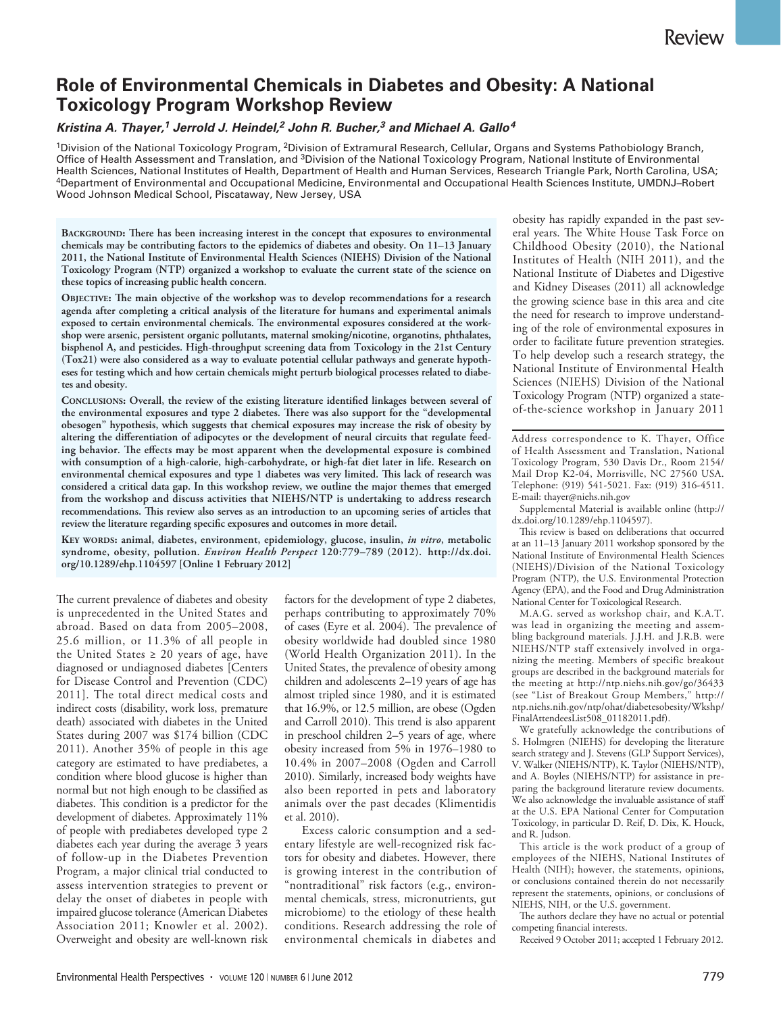# **Role of Environmental Chemicals in Diabetes and Obesity: A National Toxicology Program Workshop Review**

### *Kristina A. Thayer,1 Jerrold J. Heindel, 2 John R. Bucher, <sup>3</sup> and Michael A. Gallo<sup>4</sup>*

<sup>1</sup>Division of the National Toxicology Program, <sup>2</sup>Division of Extramural Research, Cellular, Organs and Systems Pathobiology Branch, Office of Health Assessment and Translation, and 3Division of the National Toxicology Program, National Institute of Environmental Health Sciences, National Institutes of Health, Department of Health and Human Services, Research Triangle Park, North Carolina, USA;<br><sup>4</sup>Department of Environmental and Occupational Medicine, Environmental and Occupational Wood Johnson Medical School, Piscataway, New Jersey, USA

**Background: There has been increasing interest in the concept that exposures to environmental chemicals may be contributing factors to the epidemics of diabetes and obesity. On 11–13 January 2011, the National Institute of Environmental Health Sciences (NIEHS) Division of the National Toxicology Program (NTP) organized a workshop to evaluate the current state of the science on these topics of increasing public health concern.**

**Objective: The main objective of the workshop was to develop recommendations for a research agenda after completing a critical analysis of the literature for humans and experimental animals exposed to certain environmental chemicals. The environmental exposures considered at the workshop were arsenic, persistent organic pollutants, maternal smoking/nicotine, organotins, phthalates, bisphenol A, and pesticides. High-throughput screening data from Toxicology in the 21st Century (Tox21) were also considered as a way to evaluate potential cellular pathways and generate hypotheses for testing which and how certain chemicals might perturb biological processes related to diabetes and obesity.**

**Conclusions: Overall, the review of the existing literature identified linkages between several of the environmental exposures and type 2 diabetes. There was also support for the "developmental obesogen" hypothesis, which suggests that chemical exposures may increase the risk of obesity by altering the differentiation of adipocytes or the development of neural circuits that regulate feeding behavior. The effects may be most apparent when the developmental exposure is combined with consumption of a high-calorie, high-carbohydrate, or high-fat diet later in life. Research on environmental chemical exposures and type 1 diabetes was very limited. This lack of research was considered a critical data gap. In this workshop review, we outline the major themes that emerged from the workshop and discuss activities that NIEHS/NTP is undertaking to address research recommendations. This review also serves as an introduction to an upcoming series of articles that review the literature regarding specific exposures and outcomes in more detail.**

**Key words: animal, diabetes, environment, epidemiology, glucose, insulin,** *in vitro***, metabolic syndrome, obesity, pollution.** *Environ Health Perspect* **120:779–789 (2012). http://dx.doi. org/10.1289/ehp.1104597 [Online 1 February 2012]**

The current prevalence of diabetes and obesity is unprecedented in the United States and abroad. Based on data from 2005–2008, 25.6 million, or 11.3% of all people in the United States ≥ 20 years of age, have diagnosed or undiagnosed diabetes [Centers for Disease Control and Prevention (CDC) 2011]. The total direct medical costs and indirect costs (disability, work loss, premature death) associated with diabetes in the United States during 2007 was \$174 billion (CDC 2011). Another 35% of people in this age category are estimated to have prediabetes, a condition where blood glucose is higher than normal but not high enough to be classified as diabetes. This condition is a predictor for the development of diabetes. Approximately 11% of people with prediabetes developed type 2 diabetes each year during the average 3 years of follow-up in the Diabetes Prevention Program, a major clinical trial conducted to assess intervention strategies to prevent or delay the onset of diabetes in people with impaired glucose tolerance (American Diabetes Association 2011; Knowler et al. 2002). Overweight and obesity are well-known risk

factors for the development of type 2 diabetes, perhaps contributing to approximately 70% of cases (Eyre et al. 2004). The prevalence of obesity worldwide had doubled since 1980 (World Health Organization 2011). In the United States, the prevalence of obesity among children and adolescents 2–19 years of age has almost tripled since 1980, and it is estimated that 16.9%, or 12.5 million, are obese (Ogden and Carroll 2010). This trend is also apparent in preschool children 2–5 years of age, where obesity increased from 5% in 1976–1980 to 10.4% in 2007–2008 (Ogden and Carroll 2010). Similarly, increased body weights have also been reported in pets and laboratory animals over the past decades (Klimentidis et al. 2010).

Excess caloric consumption and a sedentary lifestyle are well-recognized risk factors for obesity and diabetes. However, there is growing interest in the contribution of "nontraditional" risk factors (e.g., environmental chemicals, stress, micronutrients, gut microbiome) to the etiology of these health conditions. Research addressing the role of environmental chemicals in diabetes and

obesity has rapidly expanded in the past several years. The White House Task Force on Childhood Obesity (2010), the National Institutes of Health (NIH 2011), and the National Institute of Diabetes and Digestive and Kidney Diseases (2011) all acknowledge the growing science base in this area and cite the need for research to improve understanding of the role of environmental exposures in order to facilitate future prevention strategies. To help develop such a research strategy, the National Institute of Environmental Health Sciences (NIEHS) Division of the National Toxicology Program (NTP) organized a stateof-the-science workshop in January 2011

Address correspondence to K. Thayer, Office of Health Assessment and Translation, National Toxicology Program, 530 Davis Dr., Room 2154/ Mail Drop K2-04, Morrisville, NC 27560 USA. Telephone: (919) 541-5021. Fax: (919) 316-4511. E-mail: thayer@niehs.nih.gov

Supplemental Material is available online (http:// dx.doi.org/10.1289/ehp.1104597).

This review is based on deliberations that occurred at an 11–13 January 2011 workshop sponsored by the National Institute of Environmental Health Sciences (NIEHS)/Division of the National Toxicology Program (NTP), the U.S. Environmental Protection Agency (EPA), and the Food and Drug Administration National Center for Toxicological Research.

M.A.G. served as workshop chair, and K.A.T. was lead in organizing the meeting and assembling background materials. J.J.H. and J.R.B. were NIEHS/NTP staff extensively involved in organizing the meeting. Members of specific breakout groups are described in the background materials for the meeting at http://ntp.niehs.nih.gov/go/36433 (see "List of Breakout Group Members," http:// ntp.niehs.nih.gov/ntp/ohat/diabetesobesity/Wkshp/ FinalAttendeesList508\_01182011.pdf).

We gratefully acknowledge the contributions of S. Holmgren (NIEHS) for developing the literature search strategy and J. Stevens (GLP Support Services), V. Walker (NIEHS/NTP), K. Taylor (NIEHS/NTP), and A. Boyles (NIEHS/NTP) for assistance in preparing the background literature review documents. We also acknowledge the invaluable assistance of staff at the U.S. EPA National Center for Computation Toxicology, in particular D. Reif, D. Dix, K. Houck, and R. Judson.

This article is the work product of a group of employees of the NIEHS, National Institutes of Health (NIH); however, the statements, opinions, or conclusions contained therein do not necessarily represent the statements, opinions, or conclusions of NIEHS, NIH, or the U.S. government.

The authors declare they have no actual or potential competing financial interests.

Received 9 October 2011; accepted 1 February 2012.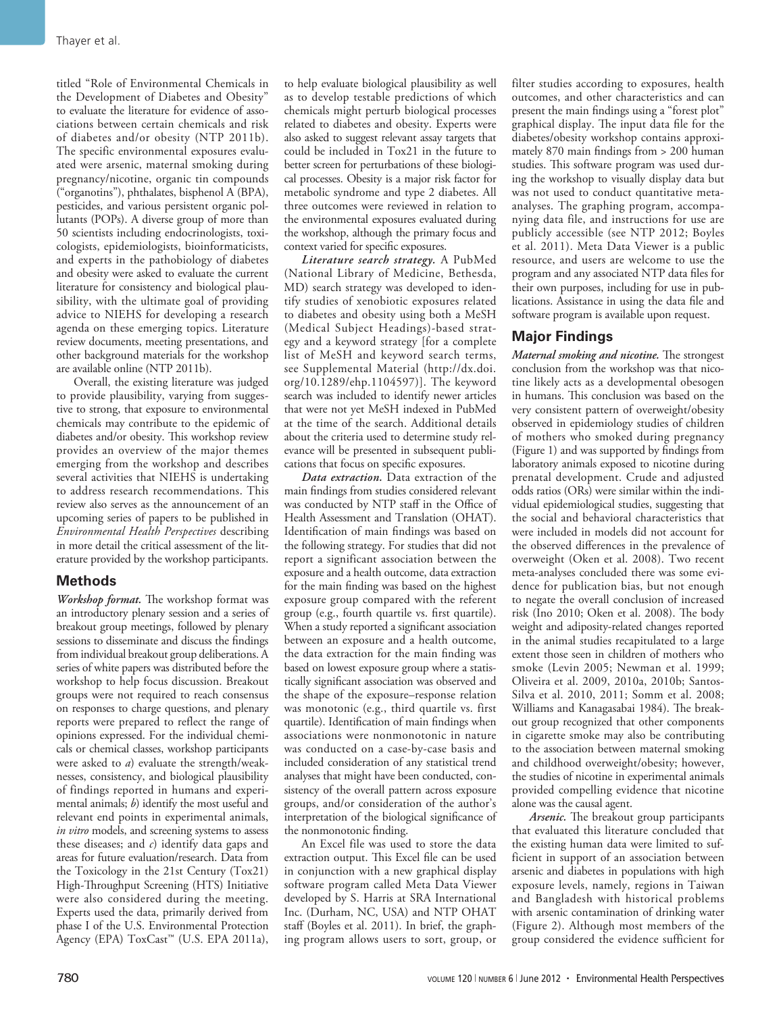titled "Role of Environmental Chemicals in the Development of Diabetes and Obesity" to evaluate the literature for evidence of associations between certain chemicals and risk of diabetes and/or obesity (NTP 2011b). The specific environmental exposures evaluated were arsenic, maternal smoking during pregnancy/nicotine, organic tin compounds ("organotins"), phthalates, bisphenol A (BPA), pesticides, and various persistent organic pollutants (POPs). A diverse group of more than 50 scientists including endocrinologists, toxicologists, epidemiologists, bioinformaticists, and experts in the pathobiology of diabetes and obesity were asked to evaluate the current literature for consistency and biological plausibility, with the ultimate goal of providing advice to NIEHS for developing a research agenda on these emerging topics. Literature review documents, meeting presentations, and other background materials for the workshop are available online (NTP 2011b).

Overall, the existing literature was judged to provide plausibility, varying from suggestive to strong, that exposure to environmental chemicals may contribute to the epidemic of diabetes and/or obesity. This workshop review provides an overview of the major themes emerging from the workshop and describes several activities that NIEHS is undertaking to address research recommendations. This review also serves as the announcement of an upcoming series of papers to be published in *Environmental Health Perspectives* describing in more detail the critical assessment of the literature provided by the workshop participants.

## **Methods**

*Workshop format.* The workshop format was an introductory plenary session and a series of breakout group meetings, followed by plenary sessions to disseminate and discuss the findings from individual breakout group deliberations. A series of white papers was distributed before the workshop to help focus discussion. Breakout groups were not required to reach consensus on responses to charge questions, and plenary reports were prepared to reflect the range of opinions expressed. For the individual chemicals or chemical classes, workshop participants were asked to *a*) evaluate the strength/weaknesses, consistency, and biological plausibility of findings reported in humans and experimental animals; *b*) identify the most useful and relevant end points in experimental animals, *in vitro* models, and screening systems to assess these diseases; and *c*) identify data gaps and areas for future evaluation/research. Data from the Toxicology in the 21st Century (Tox21) High-Throughput Screening (HTS) Initiative were also considered during the meeting. Experts used the data, primarily derived from phase I of the U.S. Environmental Protection Agency (EPA) ToxCast™ (U.S. EPA 2011a),

to help evaluate biological plausibility as well as to develop testable predictions of which chemicals might perturb biological processes related to diabetes and obesity. Experts were also asked to suggest relevant assay targets that could be included in Tox21 in the future to better screen for perturbations of these biological processes. Obesity is a major risk factor for metabolic syndrome and type 2 diabetes. All three outcomes were reviewed in relation to the environmental exposures evaluated during the workshop, although the primary focus and context varied for specific exposures.

*Literature search strategy.* A PubMed (National Library of Medicine, Bethesda, MD) search strategy was developed to identify studies of xenobiotic exposures related to diabetes and obesity using both a MeSH (Medical Subject Headings)-based strategy and a keyword strategy [for a complete list of MeSH and keyword search terms, see Supplemental Material (http://dx.doi. org/10.1289/ehp.1104597)]. The keyword search was included to identify newer articles that were not yet MeSH indexed in PubMed at the time of the search. Additional details about the criteria used to determine study relevance will be presented in subsequent publications that focus on specific exposures.

*Data extraction.* Data extraction of the main findings from studies considered relevant was conducted by NTP staff in the Office of Health Assessment and Translation (OHAT). Identification of main findings was based on the following strategy. For studies that did not report a significant association between the exposure and a health outcome, data extraction for the main finding was based on the highest exposure group compared with the referent group (e.g., fourth quartile vs. first quartile). When a study reported a significant association between an exposure and a health outcome, the data extraction for the main finding was based on lowest exposure group where a statistically significant association was observed and the shape of the exposure–response relation was monotonic (e.g., third quartile vs. first quartile). Identification of main findings when associations were nonmonotonic in nature was conducted on a case-by-case basis and included consideration of any statistical trend analyses that might have been conducted, consistency of the overall pattern across exposure groups, and/or consideration of the author's interpretation of the biological significance of the nonmonotonic finding.

An Excel file was used to store the data extraction output. This Excel file can be used in conjunction with a new graphical display software program called Meta Data Viewer developed by S. Harris at SRA International Inc. (Durham, NC, USA) and NTP OHAT staff (Boyles et al. 2011). In brief, the graphing program allows users to sort, group, or

filter studies according to exposures, health outcomes, and other characteristics and can present the main findings using a "forest plot" graphical display. The input data file for the diabetes/obesity workshop contains approximately 870 main findings from > 200 human studies. This software program was used during the workshop to visually display data but was not used to conduct quantitative metaanalyses. The graphing program, accompanying data file, and instructions for use are publicly accessible (see NTP 2012; Boyles et al. 2011). Meta Data Viewer is a public resource, and users are welcome to use the program and any associated NTP data files for their own purposes, including for use in publications. Assistance in using the data file and software program is available upon request.

# **Major Findings**

*Maternal smoking and nicotine.* The strongest conclusion from the workshop was that nicotine likely acts as a developmental obesogen in humans. This conclusion was based on the very consistent pattern of overweight/obesity observed in epidemiology studies of children of mothers who smoked during pregnancy (Figure 1) and was supported by findings from laboratory animals exposed to nicotine during prenatal development. Crude and adjusted odds ratios (ORs) were similar within the individual epidemiological studies, suggesting that the social and behavioral characteristics that were included in models did not account for the observed differences in the prevalence of overweight (Oken et al. 2008). Two recent meta-analyses concluded there was some evidence for publication bias, but not enough to negate the overall conclusion of increased risk (Ino 2010; Oken et al. 2008). The body weight and adiposity-related changes reported in the animal studies recapitulated to a large extent those seen in children of mothers who smoke (Levin 2005; Newman et al. 1999; Oliveira et al. 2009, 2010a, 2010b; Santos-Silva et al. 2010, 2011; Somm et al. 2008; Williams and Kanagasabai 1984). The breakout group recognized that other components in cigarette smoke may also be contributing to the association between maternal smoking and childhood overweight/obesity; however, the studies of nicotine in experimental animals provided compelling evidence that nicotine alone was the causal agent.

*Arsenic.* The breakout group participants that evaluated this literature concluded that the existing human data were limited to sufficient in support of an association between arsenic and diabetes in populations with high exposure levels, namely, regions in Taiwan and Bangladesh with historical problems with arsenic contamination of drinking water (Figure 2). Although most members of the group considered the evidence sufficient for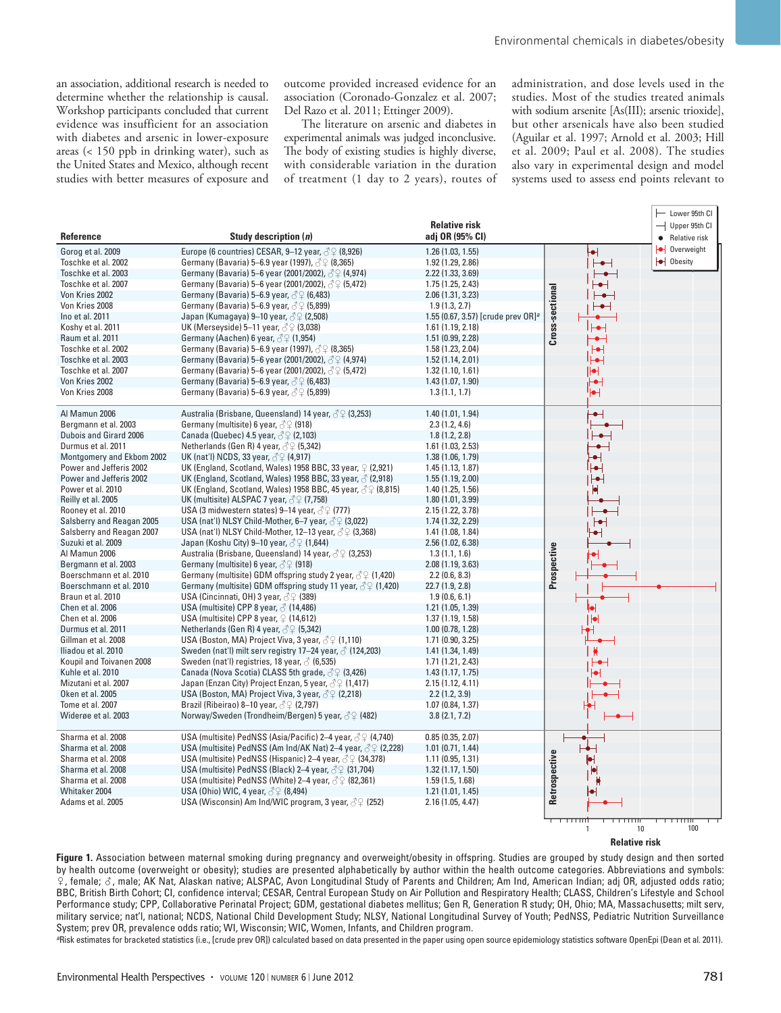an association, additional research is needed to determine whether the relationship is causal. Workshop participants concluded that current evidence was insufficient for an association with diabetes and arsenic in lower-exposure areas (< 150 ppb in drinking water), such as the United States and Mexico, although recent studies with better measures of exposure and outcome provided increased evidence for an association (Coronado-Gonzalez et al. 2007; Del Razo et al. 2011; Ettinger 2009).

The literature on arsenic and diabetes in experimental animals was judged inconclusive. The body of existing studies is highly diverse, with considerable variation in the duration of treatment (1 day to 2 years), routes of administration, and dose levels used in the studies. Most of the studies treated animals with sodium arsenite [As(III); arsenic trioxide], but other arsenicals have also been studied (Aguilar et al. 1997; Arnold et al. 2003; Hill et al. 2009; Paul et al. 2008). The studies also vary in experimental design and model systems used to assess end points relevant to

|                           |                                                                          |                                                |                 |    | - Lower 95th CI                    |
|---------------------------|--------------------------------------------------------------------------|------------------------------------------------|-----------------|----|------------------------------------|
| <b>Reference</b>          | Study description (n)                                                    | <b>Relative risk</b><br>adj OR (95% CI)        |                 |    | - Upper 95th CI<br>• Relative risk |
| Gorog et al. 2009         | Europe (6 countries) CESAR, 9-12 year, $\textcircled{2}$ (8,926)         | 1.26(1.03, 1.55)                               |                 | 어  | Overweight<br>н                    |
| Toschke et al. 2002       | Germany (Bavaria) 5–6.9 year (1997), 3 Ω (8,365)                         | 1.92 (1.29, 2.86)                              |                 |    | $\left  \bullet \right $ Obesity   |
| Toschke et al. 2003       | Germany (Bavaria) 5-6 year (2001/2002), 3 9 (4,974)                      | 2.22 (1.33, 3.69)                              |                 |    |                                    |
| Toschke et al. 2007       | Germany (Bavaria) 5–6 year (2001/2002), 3 Ω (5,472)                      | 1.75 (1.25, 2.43)                              |                 |    |                                    |
| Von Kries 2002            | Germany (Bavaria) 5–6.9 year, 3 ° (6,483)                                | 2.06 (1.31, 3.23)                              | Cross-sectional |    |                                    |
| Von Kries 2008            | Germany (Bavaria) 5-6.9 year, 39 (5,899)                                 | 1.9(1.3, 2.7)                                  |                 |    |                                    |
| Ino et al. 2011           | Japan (Kumagaya) 9–10 year, $\Im$ (2,508)                                | 1.55 (0.67, 3.57) [crude prev OR] <sup>a</sup> |                 |    |                                    |
| Koshy et al. 2011         | UK (Merseyside) 5-11 year, $\beta$ $\Omega$ (3,038)                      | 1.61(1.19, 2.18)                               |                 |    |                                    |
| Raum et al. 2011          | Germany (Aachen) 6 year, $\beta$ $\Omega$ (1,954)                        | 1.51 (0.99, 2.28)                              |                 |    |                                    |
| Toschke et al. 2002       | Germany (Bavaria) 5-6.9 year (1997), 3 Ω (8,365)                         | 1.58 (1.23, 2.04)                              |                 |    |                                    |
| Toschke et al. 2003       | Germany (Bavaria) 5-6 year (2001/2002), 3 9 (4,974)                      | 1.52(1.14, 2.01)                               |                 |    |                                    |
| Toschke et al. 2007       | Germany (Bavaria) 5–6 year (2001/2002), 3 Ω (5,472)                      | 1.32(1.10, 1.61)                               |                 |    |                                    |
| Von Kries 2002            | Germany (Bavaria) 5-6.9 year, 39 (6,483)                                 | 1.43 (1.07, 1.90)                              |                 |    |                                    |
| Von Kries 2008            | Germany (Bavaria) 5–6.9 year, $\textcircled{2}$ (5,899)                  | 1.3(1.1, 1.7)                                  |                 |    |                                    |
| Al Mamun 2006             | Australia (Brisbane, Queensland) 14 year, $\sqrt{2}$ (3,253)             | 1.40 (1.01, 1.94)                              |                 |    |                                    |
| Bergmann et al. 2003      | Germany (multisite) 6 year, $\textcircled{2}$ (918)                      | 2.3(1.2, 4.6)                                  |                 |    |                                    |
| Dubois and Girard 2006    | Canada (Quebec) 4.5 year, $\mathcal{S} \mathcal{Q}$ (2,103)              | 1.8(1.2, 2.8)                                  |                 |    |                                    |
| Durmus et al. 2011        | Netherlands (Gen R) 4 year, $\beta$ $\Omega$ (5,342)                     | 1.61 (1.03, 2.53)                              |                 |    |                                    |
| Montgomery and Ekbom 2002 | UK (nat'l) NCDS, 33 year, 3 9 (4,917)                                    | 1.38(1.06, 1.79)                               |                 |    |                                    |
| Power and Jefferis 2002   | UK (England, Scotland, Wales) 1958 BBC, 33 year, $\mathfrak{Q}$ (2,921)  | 1.45 (1.13, 1.87)                              |                 |    |                                    |
| Power and Jefferis 2002   | UK (England, Scotland, Wales) 1958 BBC, 33 year, ♂ (2,918)               | 1.55(1.19, 2.00)                               |                 |    |                                    |
| Power et al. 2010         | UK (England, Scotland, Wales) 1958 BBC, 45 year, $\Im$ $\Im$ (8,815)     | 1.40 (1.25, 1.56)                              |                 |    |                                    |
| Reilly et al. 2005        | UK (multisite) ALSPAC 7 year, $\sqrt{2}$ (7,758)                         | 1.80(1.01, 3.99)                               |                 |    |                                    |
| Rooney et al. 2010        | USA (3 midwestern states) 9-14 year, $\textcircled{2}$ (777)             | 2.15 (1.22, 3.78)                              |                 |    |                                    |
| Salsberry and Reagan 2005 | USA (nat'l) NLSY Child-Mother, 6-7 year, $\sqrt{2}$ (3,022)              | 1.74 (1.32, 2.29)                              |                 | e- |                                    |
| Salsberry and Reagan 2007 | USA (nat'l) NLSY Child-Mother, 12-13 year, $\sqrt{2}$ (3,368)            | 1.41(1.08, 1.84)                               |                 |    |                                    |
| Suzuki et al. 2009        | Japan (Koshu City) 9-10 year, $\textcircled{2}$ (1,644)                  | 2.56 (1.02, 6.38)                              |                 |    |                                    |
| Al Mamun 2006             | Australia (Brisbane, Queensland) 14 year, $\textcircled{2}$ (3,253)      | 1.3(1.1, 1.6)                                  |                 |    |                                    |
| Bergmann et al. 2003      | Germany (multisite) 6 year, $\textcircled{2}$ (918)                      | 2.08(1.19, 3.63)                               | Prospective     |    |                                    |
| Boerschmann et al. 2010   | Germany (multisite) GDM offspring study 2 year, $\text{d}\Omega$ (1,420) | 2.2(0.6, 8.3)                                  |                 |    |                                    |
| Boerschmann et al. 2010   | Germany (multisite) GDM offspring study 11 year, $\sqrt{2}$ (1,420)      | 22.7(1.9, 2.8)                                 |                 |    |                                    |
| Braun et al. 2010         | USA (Cincinnati, OH) 3 year, $\Im$ $\Im$ (389)                           | 1.9(0.6, 6.1)                                  |                 |    |                                    |
| Chen et al. 2006          | USA (multisite) CPP 8 year, $\triangle$ (14,486)                         | 1.21 (1.05, 1.39)                              |                 |    |                                    |
| Chen et al. 2006          | USA (multisite) CPP 8 year, $\mathcal{Q}$ (14,612)                       | 1.37(1.19, 1.58)                               |                 |    |                                    |
| Durmus et al. 2011        | Netherlands (Gen R) 4 year, $\mathcal{E} \subseteq (5,342)$              | 1.00(0.78, 1.28)                               |                 |    |                                    |
| Gillman et al. 2008       | USA (Boston, MA) Project Viva, 3 year, $\sqrt{2}$ (1,110)                | 1.71 (0.90, 3.25)                              |                 |    |                                    |
| Iliadou et al. 2010       | Sweden (nat'l) milt serv registry 17–24 year, $\circled{}$ (124,203)     | 1.41 (1.34, 1.49)                              |                 |    |                                    |
| Koupil and Toivanen 2008  | Sweden (nat'l) registries, 18 year, $\beta$ (6,535)                      | 1.71 (1.21, 2.43)                              |                 |    |                                    |
| Kuhle et al. 2010         | Canada (Nova Scotia) CLASS 5th grade, 3 ° (3,426)                        | 1.43(1.17, 1.75)                               |                 |    |                                    |
| Mizutani et al. 2007      | Japan (Enzan City) Project Enzan, 5 year, $\text{d}^{\circ}$ (1,417)     | 2.15 (1.12, 4.11)                              |                 |    |                                    |
| <b>Oken et al. 2005</b>   | USA (Boston, MA) Project Viva, 3 year, 3 Q (2,218)                       | 2.2(1.2, 3.9)                                  |                 |    |                                    |
| Tome et al. 2007          | Brazil (Ribeirao) 8-10 year, $\text{I}_2$ (2,797)                        | 1.07(0.84, 1.37)                               |                 |    |                                    |
| Widerge et al. 2003       | Norway/Sweden (Trondheim/Bergen) 5 year, 39 (482)                        | 3.8(2.1, 7.2)                                  |                 |    |                                    |
| Sharma et al. 2008        | USA (multisite) PedNSS (Asia/Pacific) 2-4 year, 39 (4,740)               | 0.85(0.35, 2.07)                               |                 |    |                                    |
| Sharma et al. 2008        | USA (multisite) PedNSS (Am Ind/AK Nat) 2-4 year, $\sqrt{2}$ (2,228)      | 1.01(0.71, 1.44)                               |                 |    |                                    |
| Sharma et al. 2008        | USA (multisite) PedNSS (Hispanic) 2-4 year, $\beta$ (34,378)             | 1.11(0.95, 1.31)                               |                 |    |                                    |
| Sharma et al. 2008        | USA (multisite) PedNSS (Black) 2-4 year, $\text{d}\Omega$ (31,704)       | 1.32(1.17, 1.50)                               | Retrospective   |    |                                    |
| Sharma et al. 2008        | USA (multisite) PedNSS (White) 2-4 year, $\sqrt{2}$ (82,361)             | 1.59(1.5, 1.68)                                |                 |    |                                    |
| Whitaker 2004             | USA (Ohio) WIC, 4 year, 39 (8,494)                                       | 1.21(1.01, 1.45)                               |                 |    |                                    |
| Adams et al. 2005         | USA (Wisconsin) Am Ind/WIC program, 3 year, $\beta$ (252)                | 2.16 (1.05, 4.47)                              |                 |    |                                    |
|                           |                                                                          |                                                |                 | 10 | 100                                |

**Relative risk**

**Figure 1.** Association between maternal smoking during pregnancy and overweight/obesity in offspring. Studies are grouped by study design and then sorted by health outcome (overweight or obesity); studies are presented alphabetically by author within the health outcome categories. Abbreviations and symbols: ♀, female; ♂, male; AK Nat, Alaskan native; ALSPAC, Avon Longitudinal Study of Parents and Children; Am Ind, American Indian; adj OR, adjusted odds ratio; BBC, British Birth Cohort; CI, confidence interval; CESAR, Central European Study on Air Pollution and Respiratory Health; CLASS, Children's Lifestyle and School Performance study; CPP, Collaborative Perinatal Project; GDM, gestational diabetes mellitus; Gen R, Generation R study; OH, Ohio; MA, Massachusetts; milt serv, military service; nat'l, national; NCDS, National Child Development Study; NLSY, National Longitudinal Survey of Youth; PedNSS, Pediatric Nutrition Surveillance System; prev OR, prevalence odds ratio; WI, Wisconsin; WIC, Women, Infants, and Children program.

*<sup>a</sup>*Risk estimates for bracketed statistics (i.e., [crude prev OR]) calculated based on data presented in the paper using open source epidemiology statistics software OpenEpi (Dean et al. 2011).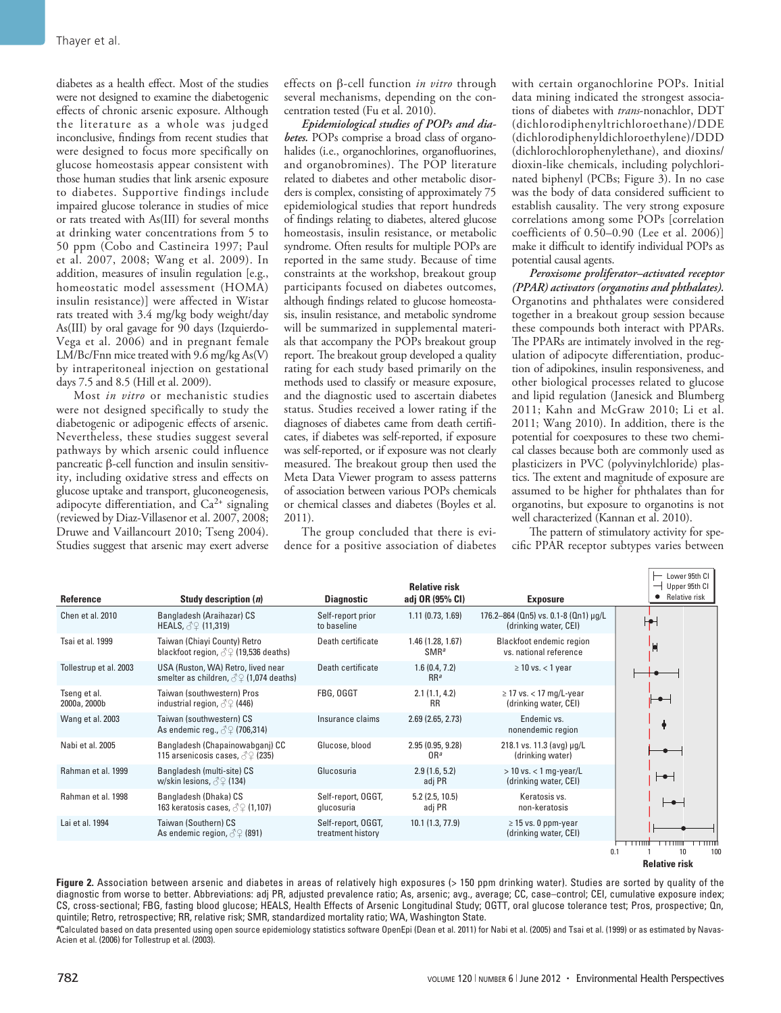diabetes as a health effect. Most of the studies were not designed to examine the diabetogenic effects of chronic arsenic exposure. Although the literature as a whole was judged inconclusive, findings from recent studies that were designed to focus more specifically on glucose homeostasis appear consistent with those human studies that link arsenic exposure to diabetes. Supportive findings include impaired glucose tolerance in studies of mice or rats treated with As(III) for several months at drinking water concentrations from 5 to 50 ppm (Cobo and Castineira 1997; Paul et al. 2007, 2008; Wang et al. 2009). In addition, measures of insulin regulation [e.g., homeostatic model assessment (HOMA) insulin resistance)] were affected in Wistar rats treated with 3.4 mg/kg body weight/day As(III) by oral gavage for 90 days (Izquierdo-Vega et al. 2006) and in pregnant female LM/Bc/Fnn mice treated with 9.6 mg/kg As(V) by intraperitoneal injection on gestational days 7.5 and 8.5 (Hill et al. 2009).

Most *in vitro* or mechanistic studies were not designed specifically to study the diabetogenic or adipogenic effects of arsenic. Nevertheless, these studies suggest several pathways by which arsenic could influence pancreatic β-cell function and insulin sensitivity, including oxidative stress and effects on glucose uptake and transport, gluconeogenesis, adipocyte differentiation, and Ca2+ signaling (reviewed by Diaz-Villasenor et al. 2007, 2008; Druwe and Vaillancourt 2010; Tseng 2004). Studies suggest that arsenic may exert adverse

effects on β-cell function *in vitro* through several mechanisms, depending on the concentration tested (Fu et al. 2010).

*Epidemiological studies of POPs and diabetes.* POPs comprise a broad class of organohalides (i.e., organochlorines, organofluorines, and organobromines). The POP literature related to diabetes and other metabolic disorders is complex, consisting of approximately 75 epidemiological studies that report hundreds of findings relating to diabetes, altered glucose homeostasis, insulin resistance, or metabolic syndrome. Often results for multiple POPs are reported in the same study. Because of time constraints at the workshop, breakout group participants focused on diabetes outcomes, although findings related to glucose homeostasis, insulin resistance, and metabolic syndrome will be summarized in supplemental materials that accompany the POPs breakout group report. The breakout group developed a quality rating for each study based primarily on the methods used to classify or measure exposure, and the diagnostic used to ascertain diabetes status. Studies received a lower rating if the diagnoses of diabetes came from death certificates, if diabetes was self-reported, if exposure was self-reported, or if exposure was not clearly measured. The breakout group then used the Meta Data Viewer program to assess patterns of association between various POPs chemicals or chemical classes and diabetes (Boyles et al. 2011).

The group concluded that there is evidence for a positive association of diabetes with certain organochlorine POPs. Initial data mining indicated the strongest associations of diabetes with *trans*-nonachlor, DDT (dichlorodiphenyltrichloroethane)/DDE (dichlorodiphenyldichloroethylene)/DDD (dichlorochlorophenylethane), and dioxins/ dioxin-like chemicals, including polychlorinated biphenyl (PCBs; Figure 3). In no case was the body of data considered sufficient to establish causality. The very strong exposure correlations among some POPs [correlation coefficients of 0.50–0.90 (Lee et al. 2006)] make it difficult to identify individual POPs as potential causal agents.

*Peroxisome proliferator–activated receptor (PPAR) activators (organotins and phthalates).* Organotins and phthalates were considered together in a breakout group session because these compounds both interact with PPARs. The PPARs are intimately involved in the regulation of adipocyte differentiation, production of adipokines, insulin responsiveness, and other biological processes related to glucose and lipid regulation (Janesick and Blumberg 2011; Kahn and McGraw 2010; Li et al. 2011; Wang 2010). In addition, there is the potential for coexposures to these two chemical classes because both are commonly used as plasticizers in PVC (polyvinylchloride) plastics. The extent and magnitude of exposure are assumed to be higher for phthalates than for organotins, but exposure to organotins is not well characterized (Kannan et al. 2010).

The pattern of stimulatory activity for specific PPAR receptor subtypes varies between

| Reference                    | Study description (n)                                                                       | <b>Diagnostic</b>                       | <b>Relative risk</b><br>adj OR (95% CI) | <b>Exposure</b>                                               | Upper 95th CI<br>—<br>Relative risk<br>٠ |
|------------------------------|---------------------------------------------------------------------------------------------|-----------------------------------------|-----------------------------------------|---------------------------------------------------------------|------------------------------------------|
| Chen et al. 2010             | Bangladesh (Araihazar) CS<br>HEALS, $\text{d}^{\circ}$ (11,319)                             | Self-report prior<br>to baseline        | 1.11(0.73, 1.69)                        | 176.2-864 (Qn5) vs. 0.1-8 (Qn1) μg/L<br>(drinking water, CEI) | HP.                                      |
| Tsai et al. 1999             | Taiwan (Chiayi County) Retro<br>blackfoot region, $\textcircled{2}$ (19,536 deaths)         | Death certificate                       | 1.46 (1.28, 1.67)<br>$SMR^a$            | Blackfoot endemic region<br>vs. national reference            | п                                        |
| Tollestrup et al. 2003       | USA (Ruston, WA) Retro, lived near<br>smelter as children, $\textcircled{2}$ (1,074 deaths) | Death certificate                       | 1.6(0.4, 7.2)<br>$RR^a$                 | $\geq 10$ vs. < 1 year                                        |                                          |
| Tseng et al.<br>2000a, 2000b | Taiwan (southwestern) Pros<br>industrial region, $\textcircled{2}$ (446)                    | FBG, OGGT                               | 2.1(1.1, 4.2)<br><b>RR</b>              | $\geq$ 17 vs. < 17 mg/L-year<br>(drinking water, CEI)         |                                          |
| Wang et al. 2003             | Taiwan (southwestern) CS<br>As endemic reg., $\textcircled{2}$ (706,314)                    | Insurance claims                        | $2.69$ (2.65, 2.73)                     | Endemic vs.<br>nonendemic region                              |                                          |
| Nabi et al. 2005             | Bangladesh (Chapainowabganj) CC<br>115 arsenicosis cases, $\text{d}\,2$ (235)               | Glucose, blood                          | 2.95(0.95, 9.28)<br>OR <sup>a</sup>     | 218.1 vs. 11.3 (avg) µg/L<br>(drinking water)                 |                                          |
| Rahman et al. 1999           | Bangladesh (multi-site) CS<br>w/skin lesions, $\textcircled{2}$ (134)                       | Glucosuria                              | 2.9(1.6, 5.2)<br>adj PR                 | $>$ 10 vs. $<$ 1 mg-year/L<br>(drinking water, CEI)           | ⊢●⊣                                      |
| Rahman et al. 1998           | Bangladesh (Dhaka) CS<br>163 keratosis cases, $\text{I}(\mathcal{Q})$ (1,107)               | Self-report, OGGT,<br>qlucosuria        | 5.2(2.5, 10.5)<br>adj PR                | Keratosis vs.<br>non-keratosis                                |                                          |
| Lai et al. 1994              | Taiwan (Southern) CS<br>As endemic region, $\textcircled{2}$ (891)                          | Self-report, OGGT,<br>treatment history | 10.1(1.3, 77.9)                         | $\geq$ 15 vs. 0 ppm-year<br>(drinking water, CEI)             |                                          |
|                              |                                                                                             |                                         |                                         |                                                               | 0.1<br>10                                |

**Relative risk**

 $L$ lower 95th CI

**Figure 2.** Association between arsenic and diabetes in areas of relatively high exposures (> 150 ppm drinking water). Studies are sorted by quality of the diagnostic from worse to better. Abbreviations: adj PR, adjusted prevalence ratio; As, arsenic; avg., average; CC, case-control; CEI, cumulative exposure index; CS, cross-sectional; FBG, fasting blood glucose; HEALS, Health Effects of Arsenic Longitudinal Study; OGTT, oral glucose tolerance test; Pros, prospective; Qn, quintile; Retro, retrospective; RR, relative risk; SMR, standardized mortality ratio; WA, Washington State.

*<sup>a</sup>*Calculated based on data presented using open source epidemiology statistics software OpenEpi (Dean et al. 2011) for Nabi et al. (2005) and Tsai et al. (1999) or as estimated by Navas-Acien et al. (2006) for Tollestrup et al. (2003).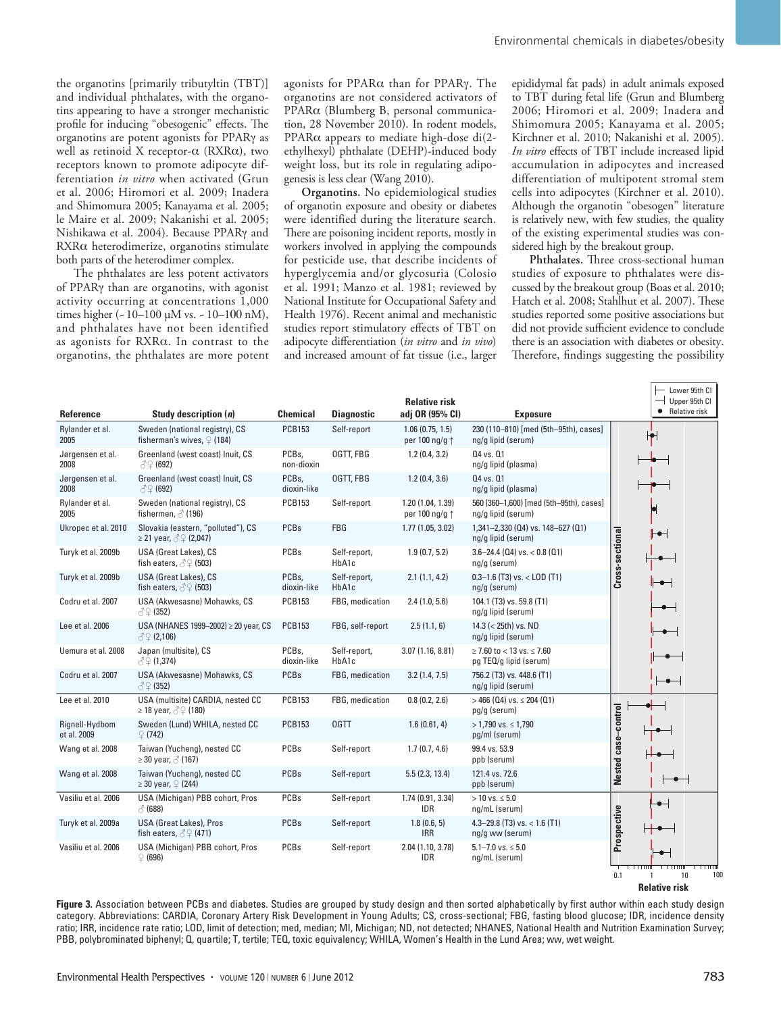the organotins [primarily tributyltin (TBT)] and individual phthalates, with the organotins appearing to have a stronger mechanistic profile for inducing "obesogenic" effects. The organotins are potent agonists for PPARγ as well as retinoid X receptor- $\alpha$  (RXR $\alpha$ ), two receptors known to promote adipocyte differentiation *in vitro* when activated (Grun et al. 2006; Hiromori et al. 2009; Inadera and Shimomura 2005; Kanayama et al. 2005; le Maire et al. 2009; Nakanishi et al. 2005; Nishikawa et al. 2004). Because PPARγ and RXRα heterodimerize, organotins stimulate both parts of the heterodimer complex.

The phthalates are less potent activators of PPARγ than are organotins, with agonist activity occurring at concentrations 1,000 times higher (~10–100 μM vs. ~ 10–100 nM), and phthalates have not been identified as agonists for RXRα. In contrast to the organotins, the phthalates are more potent agonists for PPARα than for PPARγ. The organotins are not considered activators of PPARα (Blumberg B, personal communication, 28 November 2010). In rodent models, PPAR $\alpha$  appears to mediate high-dose di(2ethylhexyl) phthalate (DEHP)-induced body weight loss, but its role in regulating adipogenesis is less clear (Wang 2010).

**Organotins.** No epidemiological studies of organotin exposure and obesity or diabetes were identified during the literature search. There are poisoning incident reports, mostly in workers involved in applying the compounds for pesticide use, that describe incidents of hyperglycemia and/or glycosuria (Colosio et al. 1991; Manzo et al. 1981; reviewed by National Institute for Occupational Safety and Health 1976). Recent animal and mechanistic studies report stimulatory effects of TBT on adipocyte differentiation (*in vitro* and *in vivo*) and increased amount of fat tissue (i.e., larger

epididymal fat pads) in adult animals exposed to TBT during fetal life (Grun and Blumberg 2006; Hiromori et al. 2009; Inadera and Shimomura 2005; Kanayama et al. 2005; Kirchner et al. 2010; Nakanishi et al. 2005). *In vitro* effects of TBT include increased lipid accumulation in adipocytes and increased differentiation of multipotent stromal stem cells into adipocytes (Kirchner et al. 2010). Although the organotin "obesogen" literature is relatively new, with few studies, the quality of the existing experimental studies was considered high by the breakout group.

**Phthalates.** Three cross-sectional human studies of exposure to phthalates were discussed by the breakout group (Boas et al. 2010; Hatch et al. 2008; Stahlhut et al. 2007). These studies reported some positive associations but did not provide sufficient evidence to conclude there is an association with diabetes or obesity. Therefore, findings suggesting the possibility

 $\overline{u}$ 

|                               |                                                                                 |                                   |                       | <b>Relative risk</b>                |                                                               |                     | Lower 95th CI<br>Upper 95th CI |  |
|-------------------------------|---------------------------------------------------------------------------------|-----------------------------------|-----------------------|-------------------------------------|---------------------------------------------------------------|---------------------|--------------------------------|--|
| <b>Reference</b>              | Study description (n)                                                           | Chemical                          | <b>Diagnostic</b>     | adj OR (95% CI)                     | <b>Exposure</b>                                               |                     | $\bullet$<br>Relative risk     |  |
| Rylander et al.<br>2005       | Sweden (national registry), CS<br>fisherman's wives, $\mathcal{Q}$ (184)        | <b>PCB153</b>                     | Self-report           | 1.06(0.75, 1.5)<br>per 100 ng/g 1   | 230 (110-810) [med (5th-95th), cases]<br>ng/g lipid (serum)   |                     | $\cdot$                        |  |
| Jørgensen et al.<br>2008      | Greenland (west coast) Inuit, CS<br>$\textcircled{3}$ (692)                     | PCB <sub>s</sub> ,<br>non-dioxin  | OGTT, FBG             | 1.2(0.4, 3.2)                       | 04 vs. 01<br>ng/g lipid (plasma)                              |                     |                                |  |
| Jørgensen et al.<br>2008      | Greenland (west coast) Inuit, CS<br>♂♀ (692)                                    | PCB <sub>s</sub> .<br>dioxin-like | OGTT, FBG             | 1.2(0.4, 3.6)                       | 04 vs. 01<br>ng/g lipid (plasma)                              |                     |                                |  |
| Rylander et al.<br>2005       | Sweden (national registry), CS<br>fishermen, $\triangle$ (196)                  | <b>PCB153</b>                     | Self-report           | 1.20 (1.04, 1.39)<br>per 100 ng/g 1 | 560 (360-1,600) [med (5th-95th), cases]<br>ng/g lipid (serum) |                     |                                |  |
| Ukropec et al. 2010           | Slovakia (eastern, "polluted"), CS<br>$\geq$ 21 year, $\textcircled{2}$ (2,047) | PCBs                              | <b>FBG</b>            | 1.77(1.05, 3.02)                    | 1,341-2,330 (Q4) vs. 148-627 (Q1)<br>ng/g lipid (serum)       |                     | ┡═┥                            |  |
| Turyk et al. 2009b            | USA (Great Lakes), CS<br>fish eaters, $\Diamond$ (503)                          | PCBs                              | Self-report,<br>HbA1c | 1.9(0.7, 5.2)                       | $3.6 - 24.4$ (Q4) vs. < 0.8 (Q1)<br>ng/g (serum)              | Cross-sectional     |                                |  |
| Turyk et al. 2009b            | USA (Great Lakes), CS<br>fish eaters, $\textcircled{2}$ (503)                   | PCBs,<br>dioxin-like              | Self-report,<br>HbA1c | 2.1(1.1, 4.2)                       | $0.3 - 1.6$ (T3) vs. < LOD (T1)<br>ng/g (serum)               |                     |                                |  |
| Codru et al. 2007             | USA (Akwesasne) Mohawks, CS<br>♂♀ (352)                                         | <b>PCB153</b>                     | FBG, medication       | 2.4(1.0, 5.6)                       | 104.1 (T3) vs. 59.8 (T1)<br>ng/g lipid (serum)                |                     |                                |  |
| Lee et al. 2006               | USA (NHANES 1999-2002) ≥ 20 year, CS<br>♂♀ (2,106)                              | <b>PCB153</b>                     | FBG, self-report      | 2.5(1.1, 6)                         | 14.3 (< 25th) vs. ND<br>ng/g lipid (serum)                    |                     |                                |  |
| Uemura et al. 2008            | Japan (multisite), CS<br>♂ (1,374)                                              | PCB <sub>s</sub> .<br>dioxin-like | Self-report,<br>HbA1c | 3.07(1.16, 8.81)                    | ≥ 7.60 to < 13 vs. ≤ 7.60<br>pg TEQ/g lipid (serum)           |                     |                                |  |
| Codru et al. 2007             | USA (Akwesasne) Mohawks, CS<br>$\mathcal{S} \mathcal{Q}$ (352)                  | PCBs                              | FBG, medication       | 3.2(1.4, 7.5)                       | 756.2 (T3) vs. 448.6 (T1)<br>ng/g lipid (serum)               |                     | $\bullet$                      |  |
| Lee et al. 2010               | USA (multisite) CARDIA, nested CC<br>$\geq$ 18 year, $\textcircled{2}$ (180)    | <b>PCB153</b>                     | FBG, medication       | 0.8(0.2, 2.6)                       | $>$ 466 (Q4) vs. $\leq$ 204 (Q1)<br>pg/g (serum)              |                     |                                |  |
| Rignell-Hydbom<br>et al. 2009 | Sweden (Lund) WHILA, nested CC<br>$\mathcal{Q}$ (742)                           | <b>PCB153</b>                     | 0GTT                  | 1.6(0.61, 4)                        | $> 1,790$ vs. $\leq 1,790$<br>pg/ml (serum)                   | Nested case-control |                                |  |
| Wang et al. 2008              | Taiwan (Yucheng), nested CC<br>$\geq$ 30 year, $\triangle$ (167)                | PCBs                              | Self-report           | 1.7(0.7, 4.6)                       | 99.4 vs. 53.9<br>ppb (serum)                                  |                     |                                |  |
| Wang et al. 2008              | Taiwan (Yucheng), nested CC<br>$\geq$ 30 year, $\mathcal{Q}$ (244)              | PCBs                              | Self-report           | 5.5(2.3, 13.4)                      | 121.4 vs. 72.6<br>ppb (serum)                                 |                     | $\bullet$ $-$                  |  |
| Vasiliu et al. 2006           | USA (Michigan) PBB cohort, Pros<br>$\circ$ (688)                                | PCBs                              | Self-report           | 1.74 (0.91, 3.34)<br><b>IDR</b>     | $> 10$ vs. $\le 5.0$<br>ng/mL (serum)                         |                     |                                |  |
| Turyk et al. 2009a            | USA (Great Lakes), Pros<br>fish eaters, $\textcircled{2}$ (471)                 | PCBs                              | Self-report           | 1.8(0.6, 5)<br><b>IRR</b>           | 4.3-29.8 (T3) vs. $<$ 1.6 (T1)<br>ng/g ww (serum)             | Prospective         |                                |  |
| Vasiliu et al. 2006           | USA (Michigan) PBB cohort, Pros<br>$\circ$ (696)                                | PCBs                              | Self-report           | 2.04 (1.10, 3.78)<br><b>IDR</b>     | $5.1 - 7.0$ vs. $\le 5.0$<br>ng/mL (serum)                    | 0.1                 | 10                             |  |

Figure 3. Association between PCBs and diabetes. Studies are grouped by study design and then sorted alphabetically by first author within each study design category. Abbreviations: CARDIA, Coronary Artery Risk Development in Young Adults; CS, cross-sectional; FBG, fasting blood glucose; IDR, incidence density ratio; IRR, incidence rate ratio; LOD, limit of detection; med, median; MI, Michigan; ND, not detected; NHANES, National Health and Nutrition Examination Survey; PBB, polybrominated biphenyl; Q, quartile; T, tertile; TEQ, toxic equivalency; WHILA, Women's Health in the Lund Area; ww, wet weight.

**Relative risk**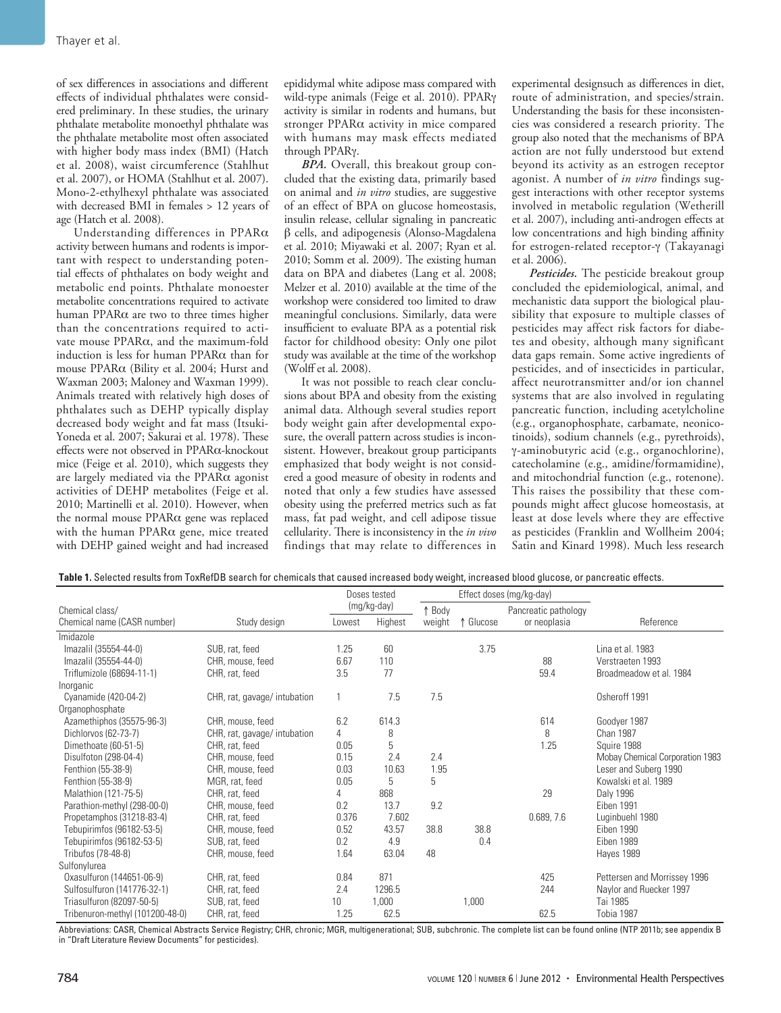of sex differences in associations and different effects of individual phthalates were considered preliminary. In these studies, the urinary phthalate metabolite monoethyl phthalate was the phthalate metabolite most often associated with higher body mass index (BMI) (Hatch et al. 2008), waist circumference (Stahlhut et al. 2007), or HOMA (Stahlhut et al. 2007). Mono-2-ethylhexyl phthalate was associated with decreased BMI in females > 12 years of age (Hatch et al. 2008).

Understanding differences in PPARα activity between humans and rodents is important with respect to understanding potential effects of phthalates on body weight and metabolic end points. Phthalate monoester metabolite concentrations required to activate human PPARα are two to three times higher than the concentrations required to activate mouse PPARα, and the maximum-fold induction is less for human PPARα than for mouse PPARα (Bility et al. 2004; Hurst and Waxman 2003; Maloney and Waxman 1999). Animals treated with relatively high doses of phthalates such as DEHP typically display decreased body weight and fat mass (Itsuki-Yoneda et al. 2007; Sakurai et al. 1978). These effects were not observed in PPARα-knockout mice (Feige et al. 2010), which suggests they are largely mediated via the PPARα agonist activities of DEHP metabolites (Feige et al. 2010; Martinelli et al. 2010). However, when the normal mouse PPARα gene was replaced with the human PPARα gene, mice treated with DEHP gained weight and had increased

epididymal white adipose mass compared with wild-type animals (Feige et al. 2010). PPARγ activity is similar in rodents and humans, but stronger PPARα activity in mice compared with humans may mask effects mediated through PPARγ.

*BPA.* Overall, this breakout group concluded that the existing data, primarily based on animal and *in vitro* studies, are suggestive of an effect of BPA on glucose homeostasis, insulin release, cellular signaling in pancreatic β cells, and adipogenesis (Alonso-Magdalena et al. 2010; Miyawaki et al. 2007; Ryan et al. 2010; Somm et al. 2009). The existing human data on BPA and diabetes (Lang et al. 2008; Melzer et al. 2010) available at the time of the workshop were considered too limited to draw meaningful conclusions. Similarly, data were insufficient to evaluate BPA as a potential risk factor for childhood obesity: Only one pilot study was available at the time of the workshop (Wolff et al. 2008).

It was not possible to reach clear conclusions about BPA and obesity from the existing animal data. Although several studies report body weight gain after developmental exposure, the overall pattern across studies is inconsistent. However, breakout group participants emphasized that body weight is not considered a good measure of obesity in rodents and noted that only a few studies have assessed obesity using the preferred metrics such as fat mass, fat pad weight, and cell adipose tissue cellularity. There is inconsistency in the *in vivo* findings that may relate to differences in

experimental designsuch as differences in diet, route of administration, and species/strain. Understanding the basis for these inconsistencies was considered a research priority. The group also noted that the mechanisms of BPA action are not fully understood but extend beyond its activity as an estrogen receptor agonist. A number of *in vitro* findings suggest interactions with other receptor systems involved in metabolic regulation (Wetherill et al. 2007), including anti-androgen effects at low concentrations and high binding affinity for estrogen-related receptor-γ (Takayanagi et al. 2006).

*Pesticides.* The pesticide breakout group concluded the epidemiological, animal, and mechanistic data support the biological plausibility that exposure to multiple classes of pesticides may affect risk factors for diabetes and obesity, although many significant data gaps remain. Some active ingredients of pesticides, and of insecticides in particular, affect neurotransmitter and/or ion channel systems that are also involved in regulating pancreatic function, including acetylcholine (e.g., organophosphate, carbamate, neonicotinoids), sodium channels (e.g., pyrethroids), γ-aminobutyric acid (e.g., organochlorine), catecholamine (e.g., amidine/formamidine), and mitochondrial function (e.g., rotenone). This raises the possibility that these compounds might affect glucose homeostasis, at least at dose levels where they are effective as pesticides (Franklin and Wollheim 2004; Satin and Kinard 1998). Much less research

| Table 1. Selected results from ToxRefDB search for chemicals that caused increased body weight, increased blood glucose, or pancreatic effects. |  |  |  |
|-------------------------------------------------------------------------------------------------------------------------------------------------|--|--|--|
|-------------------------------------------------------------------------------------------------------------------------------------------------|--|--|--|

|                                 |                              | Doses tested |             | Effect doses (mg/kg-day) |           |                      |                                 |  |
|---------------------------------|------------------------------|--------------|-------------|--------------------------|-----------|----------------------|---------------------------------|--|
| Chemical class/                 |                              |              | (mg/kg-day) | ↑ Body                   |           | Pancreatic pathology |                                 |  |
| Chemical name (CASR number)     | Study design                 | Lowest       | Highest     | weight                   | ↑ Glucose | or neoplasia         | Reference                       |  |
| Imidazole                       |                              |              |             |                          |           |                      |                                 |  |
| Imazalil (35554-44-0)           | SUB, rat, feed               | 1.25         | 60          |                          | 3.75      |                      | Lina et al. 1983                |  |
| Imazalil (35554-44-0)           | CHR, mouse, feed             | 6.67         | 110         |                          |           | 88                   | Verstraeten 1993                |  |
| Triflumizole (68694-11-1)       | CHR, rat, feed               | 3.5          | 77          |                          |           | 59.4                 | Broadmeadow et al. 1984         |  |
| Inorganic                       |                              |              |             |                          |           |                      |                                 |  |
| Cyanamide (420-04-2)            | CHR, rat, gavage/ intubation |              | 7.5         | 7.5                      |           |                      | Osheroff 1991                   |  |
| Organophosphate                 |                              |              |             |                          |           |                      |                                 |  |
| Azamethiphos (35575-96-3)       | CHR, mouse, feed             | 6.2          | 614.3       |                          |           | 614                  | Goodyer 1987                    |  |
| Dichlorvos (62-73-7)            | CHR, rat, gavage/intubation  | 4            | 8           |                          |           | 8                    | Chan 1987                       |  |
| Dimethoate (60-51-5)            | CHR, rat, feed               | 0.05         | 5           |                          |           | 1.25                 | Squire 1988                     |  |
| Disulfoton (298-04-4)           | CHR, mouse, feed             | 0.15         | 2.4         | 2.4                      |           |                      | Mobay Chemical Corporation 1983 |  |
| Fenthion (55-38-9)              | CHR, mouse, feed             | 0.03         | 10.63       | 1.95                     |           |                      | Leser and Suberg 1990           |  |
| Fenthion (55-38-9)              | MGR, rat, feed               | 0.05         | 5           | 5                        |           |                      | Kowalski et al. 1989            |  |
| Malathion (121-75-5)            | CHR, rat, feed               | 4            | 868         |                          |           | 29                   | Daly 1996                       |  |
| Parathion-methyl (298-00-0)     | CHR, mouse, feed             | 0.2          | 13.7        | 9.2                      |           |                      | <b>Eiben 1991</b>               |  |
| Propetamphos (31218-83-4)       | CHR, rat, feed               | 0.376        | 7.602       |                          |           | 0.689, 7.6           | Luginbuehl 1980                 |  |
| Tebupirimfos (96182-53-5)       | CHR, mouse, feed             | 0.52         | 43.57       | 38.8                     | 38.8      |                      | Eiben 1990                      |  |
| Tebupirimfos (96182-53-5)       | SUB, rat, feed               | 0.2          | 4.9         |                          | 0.4       |                      | <b>Eiben 1989</b>               |  |
| Tribufos (78-48-8)              | CHR, mouse, feed             | 1.64         | 63.04       | 48                       |           |                      | Hayes 1989                      |  |
| Sulfonylurea                    |                              |              |             |                          |           |                      |                                 |  |
| Oxasulfuron (144651-06-9)       | CHR, rat, feed               | 0.84         | 871         |                          |           | 425                  | Pettersen and Morrissey 1996    |  |
| Sulfosulfuron (141776-32-1)     | CHR, rat, feed               | 2.4          | 1296.5      |                          |           | 244                  | Naylor and Ruecker 1997         |  |
| Triasulfuron (82097-50-5)       | SUB, rat, feed               | 10           | 1,000       |                          | 1,000     |                      | Tai 1985                        |  |
| Tribenuron-methyl (101200-48-0) | CHR, rat, feed               | 1.25         | 62.5        |                          |           | 62.5                 | Tobia 1987                      |  |

Abbreviations: CASR, Chemical Abstracts Service Registry; CHR, chronic; MGR, multigenerational; SUB, subchronic. The complete list can be found online (NTP 2011b; see appendix B in "Draft Literature Review Documents" for pesticides).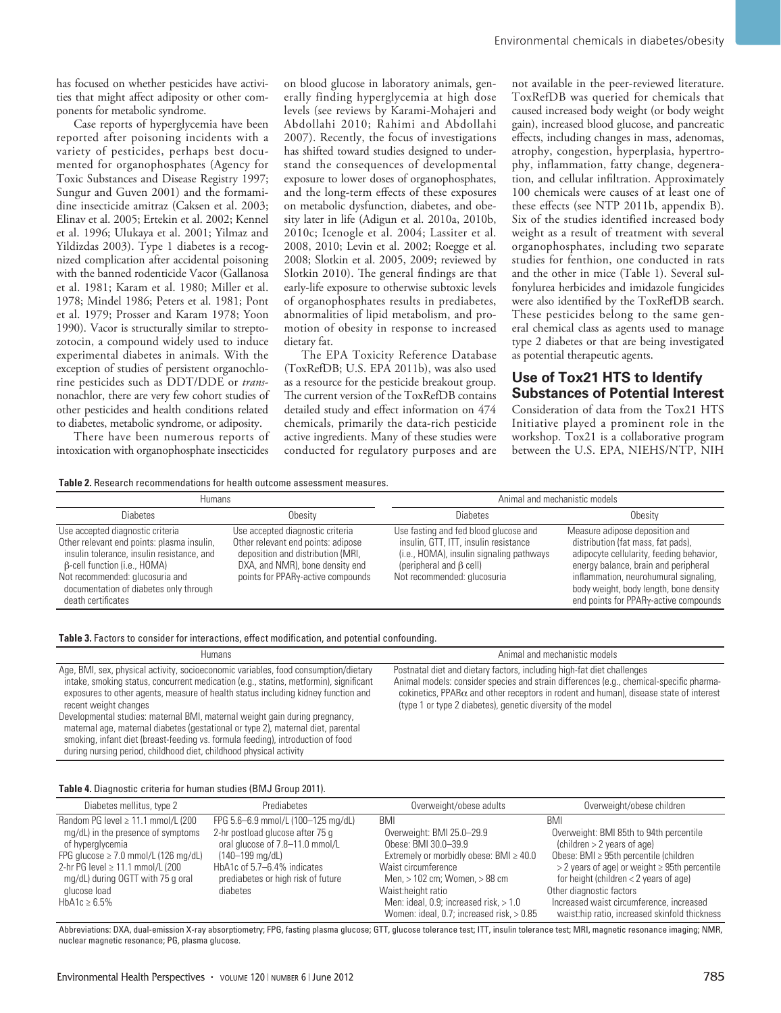has focused on whether pesticides have activities that might affect adiposity or other components for metabolic syndrome.

Case reports of hyperglycemia have been reported after poisoning incidents with a variety of pesticides, perhaps best documented for organophosphates (Agency for Toxic Substances and Disease Registry 1997; Sungur and Guven 2001) and the formamidine insecticide amitraz (Caksen et al. 2003; Elinav et al. 2005; Ertekin et al. 2002; Kennel et al. 1996; Ulukaya et al. 2001; Yilmaz and Yildizdas 2003). Type 1 diabetes is a recognized complication after accidental poisoning with the banned rodenticide Vacor (Gallanosa et al. 1981; Karam et al. 1980; Miller et al. 1978; Mindel 1986; Peters et al. 1981; Pont et al. 1979; Prosser and Karam 1978; Yoon 1990). Vacor is structurally similar to streptozotocin, a compound widely used to induce experimental diabetes in animals. With the exception of studies of persistent organochlorine pesticides such as DDT/DDE or *trans*nonachlor, there are very few cohort studies of other pesticides and health conditions related to diabetes, metabolic syndrome, or adiposity.

There have been numerous reports of intoxication with organophosphate insecticides

on blood glucose in laboratory animals, generally finding hyperglycemia at high dose levels (see reviews by Karami-Mohajeri and Abdollahi 2010; Rahimi and Abdollahi 2007). Recently, the focus of investigations has shifted toward studies designed to understand the consequences of developmental exposure to lower doses of organophosphates, and the long-term effects of these exposures on metabolic dysfunction, diabetes, and obesity later in life (Adigun et al. 2010a, 2010b, 2010c; Icenogle et al. 2004; Lassiter et al. 2008, 2010; Levin et al. 2002; Roegge et al. 2008; Slotkin et al. 2005, 2009; reviewed by Slotkin 2010). The general findings are that early-life exposure to otherwise subtoxic levels of organophosphates results in prediabetes, abnormalities of lipid metabolism, and promotion of obesity in response to increased dietary fat.

The EPA Toxicity Reference Database (ToxRefDB; U.S. EPA 2011b), was also used as a resource for the pesticide breakout group. The current version of the ToxRefDB contains detailed study and effect information on 474 chemicals, primarily the data-rich pesticide active ingredients. Many of these studies were conducted for regulatory purposes and are

not available in the peer-reviewed literature. ToxRefDB was queried for chemicals that caused increased body weight (or body weight gain), increased blood glucose, and pancreatic effects, including changes in mass, adenomas, atrophy, congestion, hyperplasia, hypertrophy, inflammation, fatty change, degeneration, and cellular infiltration. Approximately 100 chemicals were causes of at least one of these effects (see NTP 2011b, appendix B). Six of the studies identified increased body weight as a result of treatment with several organophosphates, including two separate studies for fenthion, one conducted in rats and the other in mice (Table 1). Several sulfonylurea herbicides and imidazole fungicides were also identified by the ToxRefDB search. These pesticides belong to the same general chemical class as agents used to manage type 2 diabetes or that are being investigated as potential therapeutic agents.

### **Use of Tox21 HTS to Identify Substances of Potential Interest**

Consideration of data from the Tox21 HTS Initiative played a prominent role in the workshop. Tox21 is a collaborative program between the U.S. EPA, NIEHS/NTP, NIH

#### **Table 2.** Research recommendations for health outcome assessment measures.

| <b>Humans</b>                                                                                                                                                                                                                                                   |                                                                                                                                                                                                  | Animal and mechanistic models                                                                                                                                                              |                                                                                                                                                                                                                                                                                                   |  |  |
|-----------------------------------------------------------------------------------------------------------------------------------------------------------------------------------------------------------------------------------------------------------------|--------------------------------------------------------------------------------------------------------------------------------------------------------------------------------------------------|--------------------------------------------------------------------------------------------------------------------------------------------------------------------------------------------|---------------------------------------------------------------------------------------------------------------------------------------------------------------------------------------------------------------------------------------------------------------------------------------------------|--|--|
| <b>Diabetes</b>                                                                                                                                                                                                                                                 | Obesity                                                                                                                                                                                          | <b>Diabetes</b>                                                                                                                                                                            | Obesity                                                                                                                                                                                                                                                                                           |  |  |
| Use accepted diagnostic criteria<br>Other relevant end points: plasma insulin,<br>insulin tolerance, insulin resistance, and<br>β-cell function (i.e., HOMA)<br>Not recommended: glucosuria and<br>documentation of diabetes only through<br>death certificates | Use accepted diagnostic criteria<br>Other relevant end points: adipose<br>deposition and distribution (MRI,<br>DXA, and NMR), bone density end<br>points for PPAR <sub>Y</sub> -active compounds | Use fasting and fed blood glucose and<br>insulin, GTT, ITT, insulin resistance<br>(i.e., HOMA), insulin signaling pathways<br>(peripheral and $\beta$ cell)<br>Not recommended: glucosuria | Measure adipose deposition and<br>distribution (fat mass, fat pads),<br>adipocyte cellularity, feeding behavior,<br>energy balance, brain and peripheral<br>inflammation, neurohumural signaling,<br>body weight, body length, bone density<br>end points for PPAR <sub>Y</sub> -active compounds |  |  |

| <b>Humans</b>                                                                                                                                                                                                                                                                              | Animal and mechanistic models                                                                                                                                                                                                                                                                                                    |
|--------------------------------------------------------------------------------------------------------------------------------------------------------------------------------------------------------------------------------------------------------------------------------------------|----------------------------------------------------------------------------------------------------------------------------------------------------------------------------------------------------------------------------------------------------------------------------------------------------------------------------------|
| Age, BMI, sex, physical activity, socioeconomic variables, food consumption/dietary<br>intake, smoking status, concurrent medication (e.g., statins, metformin), significant<br>exposures to other agents, measure of health status including kidney function and<br>recent weight changes | Postnatal diet and dietary factors, including high-fat diet challenges<br>Animal models: consider species and strain differences (e.g., chemical-specific pharma-<br>cokinetics, $PPAR\alpha$ and other receptors in rodent and human), disease state of interest<br>(type 1 or type 2 diabetes), genetic diversity of the model |

Developmental studies: maternal BMI, maternal weight gain during pregnancy, maternal age, maternal diabetes (gestational or type 2), maternal diet, parental smoking, infant diet (breast-feeding vs. formula feeding), introduction of food during nursing period, childhood diet, childhood physical activity

#### **Table 4.** Diagnostic criteria for human studies (BMJ Group 2011).

| Diabetes mellitus, type 2                                                                                                                                                                                                                                          | Prediabetes                                                                                                                                                                                                               | Overweight/obese adults                                                                                                                                                                                                                                                                         | Overweight/obese children                                                                                                                                                                                                                                                                                                                                         |
|--------------------------------------------------------------------------------------------------------------------------------------------------------------------------------------------------------------------------------------------------------------------|---------------------------------------------------------------------------------------------------------------------------------------------------------------------------------------------------------------------------|-------------------------------------------------------------------------------------------------------------------------------------------------------------------------------------------------------------------------------------------------------------------------------------------------|-------------------------------------------------------------------------------------------------------------------------------------------------------------------------------------------------------------------------------------------------------------------------------------------------------------------------------------------------------------------|
| Random PG level $\geq$ 11.1 mmol/L (200<br>mg/dL) in the presence of symptoms<br>of hyperglycemia<br>FPG glucose $\geq 7.0$ mmol/L (126 mg/dL)<br>2-hr PG level $\geq$ 11.1 mmol/L (200<br>mg/dL) during OGTT with 75 g oral<br>glucose load<br>HbA1c $\geq 6.5\%$ | FPG 5.6-6.9 mmol/L (100-125 mg/dL)<br>2-hr postload glucose after 75 g<br>oral glucose of 7.8-11.0 mmol/L<br>$(140 - 199 \text{ mg/dL})$<br>HbA1c of 5.7–6.4% indicates<br>prediabetes or high risk of future<br>diabetes | <b>BMI</b><br>Overweight: BMI 25.0-29.9<br>Obese: BMI 30.0-39.9<br>Extremely or morbidly obese: BMI $\geq 40.0$<br>Waist circumference<br>Men, $>$ 102 cm; Women, $>$ 88 cm<br>Waist:height ratio<br>Men: ideal, 0.9; increased risk, $> 1.0$<br>Women: ideal, $0.7$ ; increased risk, $> 0.85$ | BMI<br>Overweight: BMI 85th to 94th percentile<br>$\left($ children > 2 years of age)<br>Obese: BMI $\geq$ 95th percentile (children<br>$>$ 2 years of age) or weight $\geq$ 95th percentile<br>for height (children $<$ 2 years of age)<br>Other diagnostic factors<br>Increased waist circumference, increased<br>waist:hip ratio, increased skinfold thickness |
|                                                                                                                                                                                                                                                                    |                                                                                                                                                                                                                           |                                                                                                                                                                                                                                                                                                 |                                                                                                                                                                                                                                                                                                                                                                   |

Abbreviations: DXA, dual-emission X-ray absorptiometry; FPG, fasting plasma glucose; GTT, glucose tolerance test; ITT, insulin tolerance test; MRI, magnetic resonance imaging; NMR, nuclear magnetic resonance; PG, plasma glucose.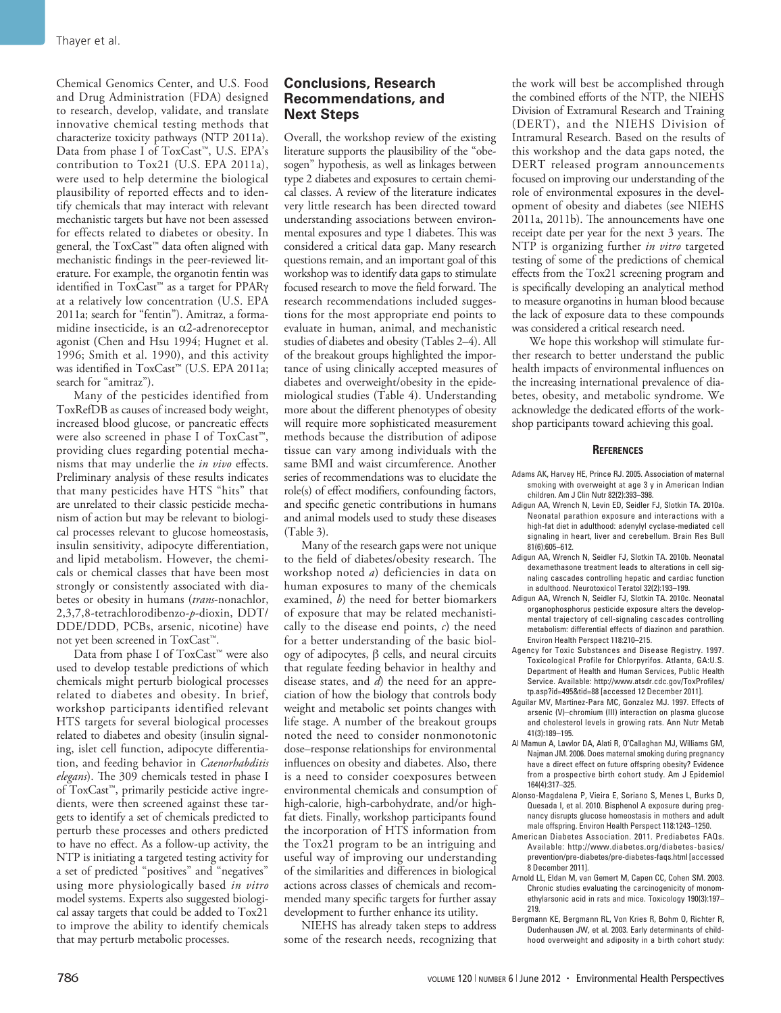Chemical Genomics Center, and U.S. Food and Drug Administration (FDA) designed to research, develop, validate, and translate innovative chemical testing methods that characterize toxicity pathways (NTP 2011a). Data from phase I of ToxCast™, U.S. EPA's contribution to Tox21 (U.S. EPA 2011a), were used to help determine the biological plausibility of reported effects and to identify chemicals that may interact with relevant mechanistic targets but have not been assessed for effects related to diabetes or obesity. In general, the ToxCast™ data often aligned with mechanistic findings in the peer-reviewed literature. For example, the organotin fentin was identified in ToxCast™ as a target for PPARγ at a relatively low concentration (U.S. EPA 2011a; search for "fentin"). Amitraz, a formamidine insecticide, is an  $\alpha$ 2-adrenoreceptor agonist (Chen and Hsu 1994; Hugnet et al. 1996; Smith et al. 1990), and this activity was identified in ToxCast™ (U.S. EPA 2011a; search for "amitraz").

Many of the pesticides identified from ToxRefDB as causes of increased body weight, increased blood glucose, or pancreatic effects were also screened in phase I of ToxCast™, providing clues regarding potential mechanisms that may underlie the *in vivo* effects. Preliminary analysis of these results indicates that many pesticides have HTS "hits" that are unrelated to their classic pesticide mechanism of action but may be relevant to biological processes relevant to glucose homeostasis, insulin sensitivity, adipocyte differentiation, and lipid metabolism. However, the chemicals or chemical classes that have been most strongly or consistently associated with diabetes or obesity in humans (*trans*-nonachlor, 2,3,7,8-tetrachlorodibenzo-*p*-dioxin, DDT/ DDE/DDD, PCBs, arsenic, nicotine) have not yet been screened in ToxCast™.

Data from phase I of ToxCast™ were also used to develop testable predictions of which chemicals might perturb biological processes related to diabetes and obesity. In brief, workshop participants identified relevant HTS targets for several biological processes related to diabetes and obesity (insulin signaling, islet cell function, adipocyte differentiation, and feeding behavior in *Caenorhabditis elegans*). The 309 chemicals tested in phase I of ToxCast™, primarily pesticide active ingredients, were then screened against these targets to identify a set of chemicals predicted to perturb these processes and others predicted to have no effect. As a follow-up activity, the NTP is initiating a targeted testing activity for a set of predicted "positives" and "negatives" using more physiologically based *in vitro* model systems. Experts also suggested biological assay targets that could be added to Tox21 to improve the ability to identify chemicals that may perturb metabolic processes.

### **Conclusions, Research Recommendations, and Next Steps**

Overall, the workshop review of the existing literature supports the plausibility of the "obesogen" hypothesis, as well as linkages between type 2 diabetes and exposures to certain chemical classes. A review of the literature indicates very little research has been directed toward understanding associations between environmental exposures and type 1 diabetes. This was considered a critical data gap. Many research questions remain, and an important goal of this workshop was to identify data gaps to stimulate focused research to move the field forward. The research recommendations included suggestions for the most appropriate end points to evaluate in human, animal, and mechanistic studies of diabetes and obesity (Tables 2–4). All of the breakout groups highlighted the importance of using clinically accepted measures of diabetes and overweight/obesity in the epidemiological studies (Table 4). Understanding more about the different phenotypes of obesity will require more sophisticated measurement methods because the distribution of adipose tissue can vary among individuals with the same BMI and waist circumference. Another series of recommendations was to elucidate the role(s) of effect modifiers, confounding factors, and specific genetic contributions in humans and animal models used to study these diseases (Table 3).

Many of the research gaps were not unique to the field of diabetes/obesity research. The workshop noted *a*) deficiencies in data on human exposures to many of the chemicals examined, *b*) the need for better biomarkers of exposure that may be related mechanistically to the disease end points, *c*) the need for a better understanding of the basic biology of adipocytes, β cells, and neural circuits that regulate feeding behavior in healthy and disease states, and *d*) the need for an appreciation of how the biology that controls body weight and metabolic set points changes with life stage. A number of the breakout groups noted the need to consider nonmonotonic dose–response relationships for environmental influences on obesity and diabetes. Also, there is a need to consider coexposures between environmental chemicals and consumption of high-calorie, high-carbohydrate, and/or highfat diets. Finally, workshop participants found the incorporation of HTS information from the Tox21 program to be an intriguing and useful way of improving our understanding of the similarities and differences in biological actions across classes of chemicals and recommended many specific targets for further assay development to further enhance its utility.

NIEHS has already taken steps to address some of the research needs, recognizing that the work will best be accomplished through the combined efforts of the NTP, the NIEHS Division of Extramural Research and Training (DERT), and the NIEHS Division of Intramural Research. Based on the results of this workshop and the data gaps noted, the DERT released program announcements focused on improving our understanding of the role of environmental exposures in the development of obesity and diabetes (see NIEHS 2011a, 2011b). The announcements have one receipt date per year for the next 3 years. The NTP is organizing further *in vitro* targeted testing of some of the predictions of chemical effects from the Tox21 screening program and is specifically developing an analytical method to measure organotins in human blood because the lack of exposure data to these compounds was considered a critical research need.

We hope this workshop will stimulate further research to better understand the public health impacts of environmental influences on the increasing international prevalence of diabetes, obesity, and metabolic syndrome. We acknowledge the dedicated efforts of the workshop participants toward achieving this goal.

#### **References**

- Adams AK, Harvey HE, Prince RJ. 2005. Association of maternal smoking with overweight at age 3 y in American Indian children. Am J Clin Nutr 82(2):393–398.
- Adigun AA, Wrench N, Levin ED, Seidler FJ, Slotkin TA. 2010a. Neonatal parathion exposure and interactions with a high-fat diet in adulthood: adenylyl cyclase-mediated cell signaling in heart, liver and cerebellum. Brain Res Bull 81(6):605–612.
- Adigun AA, Wrench N, Seidler FJ, Slotkin TA. 2010b. Neonatal dexamethasone treatment leads to alterations in cell signaling cascades controlling hepatic and cardiac function in adulthood. Neurotoxicol Teratol 32(2):193–199.
- Adigun AA, Wrench N, Seidler FJ, Slotkin TA. 2010c. Neonatal organophosphorus pesticide exposure alters the developmental trajectory of cell-signaling cascades controlling metabolism: differential effects of diazinon and parathion. Environ Health Perspect 118:210–215.
- Agency for Toxic Substances and Disease Registry. 1997. Toxicological Profile for Chlorpyrifos. Atlanta, GA:U.S. Department of Health and Human Services, Public Health Service. Available: http://www.atsdr.cdc.gov/ToxProfiles/ tp.asp?id=495&tid=88 [accessed 12 December 2011].
- Aguilar MV, Martinez-Para MC, Gonzalez MJ. 1997. Effects of arsenic (V)–chromium (III) interaction on plasma glucose and cholesterol levels in growing rats. Ann Nutr Metab 41(3):189–195.
- Al Mamun A, Lawlor DA, Alati R, O'Callaghan MJ, Williams GM, Najman JM. 2006. Does maternal smoking during pregnancy have a direct effect on future offspring obesity? Evidence from a prospective birth cohort study. Am J Epidemiol 164(4):317–325.
- Alonso-Magdalena P, Vieira E, Soriano S, Menes L, Burks D, Quesada I, et al. 2010. Bisphenol A exposure during pregnancy disrupts glucose homeostasis in mothers and adult male offspring. Environ Health Perspect 118:1243–1250.
- American Diabetes Association. 2011. Prediabetes FAQs. Available: http://www.diabetes.org/diabetes-basics/ prevention/pre-diabetes/pre-diabetes-faqs.html [accessed 8 December 2011].
- Arnold LL, Eldan M, van Gemert M, Capen CC, Cohen SM. 2003. Chronic studies evaluating the carcinogenicity of monomethylarsonic acid in rats and mice. Toxicology 190(3):197– 219.
- Bergmann KE, Bergmann RL, Von Kries R, Bohm O, Richter R, Dudenhausen JW, et al. 2003. Early determinants of childhood overweight and adiposity in a birth cohort study: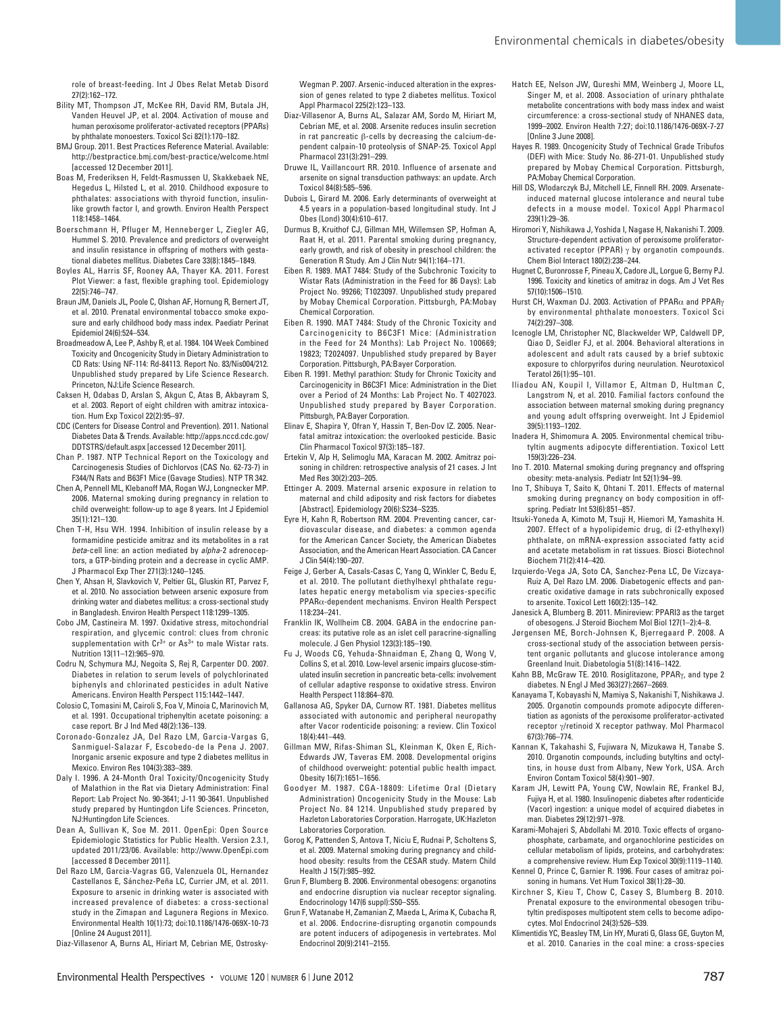role of breast-feeding. Int J Obes Relat Metab Disord 27(2):162–172.

- Bility MT, Thompson JT, McKee RH, David RM, Butala JH, Vanden Heuvel JP, et al. 2004. Activation of mouse and human peroxisome proliferator-activated receptors (PPARs) by phthalate monoesters. Toxicol Sci 82(1):170–182.
- BMJ Group. 2011. Best Practices Reference Material. Available: http://bestpractice.bmj.com/best-practice/welcome.html [accessed 12 December 2011].
- Boas M, Frederiksen H, Feldt-Rasmussen U, Skakkebaek NE, Hegedus L, Hilsted L, et al. 2010. Childhood exposure to phthalates: associations with thyroid function, insulinlike growth factor I, and growth. Environ Health Perspect 118:1458–1464.
- Boerschmann H, Pfluger M, Henneberger L, Ziegler AG, Hummel S. 2010. Prevalence and predictors of overweight and insulin resistance in offspring of mothers with gestational diabetes mellitus. Diabetes Care 33(8):1845–1849.
- Boyles AL, Harris SF, Rooney AA, Thayer KA. 2011. Forest Plot Viewer: a fast, flexible graphing tool. Epidemiology 22(5):746–747.
- Braun JM, Daniels JL, Poole C, Olshan AF, Hornung R, Bernert JT, et al. 2010. Prenatal environmental tobacco smoke exposure and early childhood body mass index. Paediatr Perinat Epidemiol 24(6):524–534.
- Broadmeadow A, Lee P, Ashby R, et al. 1984. 104 Week Combined Toxicity and Oncogenicity Study in Dietary Administration to CD Rats: Using NF-114: Rd-84113. Report No. 83/Nis004/212. Unpublished study prepared by Life Science Research. Princeton, NJ:Life Science Research.
- Caksen H, Odabas D, Arslan S, Akgun C, Atas B, Akbayram S, et al. 2003. Report of eight children with amitraz intoxication. Hum Exp Toxicol 22(2):95–97.
- CDC (Centers for Disease Control and Prevention). 2011. National Diabetes Data & Trends. Available: http://apps.nccd.cdc.gov/ DDTSTRS/default.aspx [accessed 12 December 2011].
- Chan P. 1987. NTP Technical Report on the Toxicology and Carcinogenesis Studies of Dichlorvos (CAS No. 62-73-7) in F344/N Rats and B63F1 Mice (Gavage Studies). NTP TR 342.
- Chen A, Pennell ML, Klebanoff MA, Rogan WJ, Longnecker MP. 2006. Maternal smoking during pregnancy in relation to child overweight: follow-up to age 8 years. Int J Epidemiol 35(1):121–130.
- Chen T-H, Hsu WH. 1994. Inhibition of insulin release by a formamidine pesticide amitraz and its metabolites in a rat *beta*-cell line: an action mediated by *alpha*-2 adrenoceptors, a GTP-binding protein and a decrease in cyclic AMP. J Pharmacol Exp Ther 271(3):1240–1245.
- Chen Y, Ahsan H, Slavkovich V, Peltier GL, Gluskin RT, Parvez F, et al. 2010. No association between arsenic exposure from drinking water and diabetes mellitus: a cross-sectional study in Bangladesh. Environ Health Perspect 118:1299–1305.
- Cobo JM, Castineira M. 1997. Oxidative stress, mitochondrial respiration, and glycemic control: clues from chronic<br>supplementation with Cr<sup>3+</sup> or As<sup>3+</sup> to male Wistar rats. Nutrition 13(11–12):965–970.
- Codru N, Schymura MJ, Negoita S, Rej R, Carpenter DO. 2007. Diabetes in relation to serum levels of polychlorinated biphenyls and chlorinated pesticides in adult Native Americans. Environ Health Perspect 115:1442–1447.
- Colosio C, Tomasini M, Cairoli S, Foa V, Minoia C, Marinovich M, et al. 1991. Occupational triphenyltin acetate poisoning: a case report. Br J Ind Med 48(2):136–139.
- Coronado-Gonzalez JA, Del Razo LM, Garcia-Vargas G, Sanmiguel-Salazar F, Escobedo-de la Pena J. 2007. Inorganic arsenic exposure and type 2 diabetes mellitus in Mexico. Environ Res 104(3):383–389.
- Daly I. 1996. A 24-Month Oral Toxicity/Oncogenicity Study of Malathion in the Rat via Dietary Administration: Final Report: Lab Project No. 90-3641; J-11 90-3641. Unpublished study prepared by Huntingdon Life Sciences. Princeton, NJ:Huntingdon Life Sciences.
- Dean A, Sullivan K, Soe M. 2011. OpenEpi: Open Source Epidemiologic Statistics for Public Health. Version 2.3.1, updated 2011/23/06. Available: http://www.OpenEpi.com [accessed 8 December 2011].
- Del Razo LM, Garcia-Vagras GG, Valenzuela OL, Hernandez Castellanos E, Sánchez-Peña LC, Currier JM, et al. 2011. Exposure to arsenic in drinking water is associated with increased prevalence of diabetes: a cross-sectional study in the Zimapan and Lagunera Regions in Mexico. Environmental Health 10(1):73; doi:10.1186/1476-069X-10-73 [Online 24 August 2011].
- Diaz-Villasenor A, Burns AL, Hiriart M, Cebrian ME, Ostrosky-

Wegman P. 2007. Arsenic-induced alteration in the expression of genes related to type 2 diabetes mellitus. Toxicol Appl Pharmacol 225(2):123–133.

- Diaz-Villasenor A, Burns AL, Salazar AM, Sordo M, Hiriart M, Cebrian ME, et al. 2008. Arsenite reduces insulin secretion in rat pancreatic  $\beta$ -cells by decreasing the calcium-dependent calpain-10 proteolysis of SNAP-25. Toxicol Appl Pharmacol 231(3):291–299.
- Druwe IL, Vaillancourt RR. 2010. Influence of arsenate and arsenite on signal transduction pathways: an update. Arch Toxicol 84(8):585–596.
- Dubois L, Girard M. 2006. Early determinants of overweight at 4.5 years in a population-based longitudinal study. Int J Obes (Lond) 30(4):610–617.
- Durmus B, Kruithof CJ, Gillman MH, Willemsen SP, Hofman A, Raat H, et al. 2011. Parental smoking during pregnancy, early growth, and risk of obesity in preschool children: the Generation R Study. Am J Clin Nutr 94(1):164–171.
- Eiben R. 1989. MAT 7484: Study of the Subchronic Toxicity to Wistar Rats (Administration in the Feed for 86 Days): Lab Project No. 99266; T1023097. Unpublished study prepared by Mobay Chemical Corporation. Pittsburgh, PA:Mobay Chemical Corporation.
- Eiben R. 1990. MAT 7484: Study of the Chronic Toxicity and Carcinogenicity to B6C3F1 Mice: (Administration in the Feed for 24 Months): Lab Project No. 100669; 19823; T2024097. Unpublished study prepared by Bayer Corporation. Pittsburgh, PA:Bayer Corporation.
- Eiben R. 1991. Methyl parathion: Study for Chronic Toxicity and Carcinogenicity in B6C3F1 Mice: Administration in the Diet over a Period of 24 Months: Lab Project No. T 4027023. Unpublished study prepared by Bayer Corporation. Pittsburgh, PA:Bayer Corporation.
- Elinav E, Shapira Y, Ofran Y, Hassin T, Ben-Dov IZ. 2005. Nearfatal amitraz intoxication: the overlooked pesticide. Basic Clin Pharmacol Toxicol 97(3):185–187.
- Ertekin V, Alp H, Selimoglu MA, Karacan M. 2002. Amitraz poisoning in children: retrospective analysis of 21 cases. J Int Med Res 30(2):203–205.
- Ettinger A. 2009. Maternal arsenic exposure in relation to maternal and child adiposity and risk factors for diabetes [Abstract]. Epidemiology 20(6):S234–S235.
- Eyre H, Kahn R, Robertson RM. 2004. Preventing cancer, cardiovascular disease, and diabetes: a common agenda for the American Cancer Society, the American Diabetes Association, and the American Heart Association. CA Cancer J Clin 54(4):190–207.
- Feige J, Gerber A, Casals-Casas C, Yang Q, Winkler C, Bedu E, et al. 2010. The pollutant diethylhexyl phthalate regulates hepatic energy metabolism via species-specific PPARa-dependent mechanisms. Environ Health Perspect 118:234–241.
- Franklin IK, Wollheim CB. 2004. GABA in the endocrine pancreas: its putative role as an islet cell paracrine-signalling molecule. J Gen Physiol 123(3):185–190.
- Fu J, Woods CG, Yehuda-Shnaidman E, Zhang Q, Wong V, Collins S, et al. 2010. Low-level arsenic impairs glucose-stimulated insulin secretion in pancreatic beta-cells: involvement of cellular adaptive response to oxidative stress. Environ Health Perspect 118:864–870.
- Gallanosa AG, Spyker DA, Curnow RT. 1981. Diabetes mellitus associated with autonomic and peripheral neuropathy after Vacor rodenticide poisoning: a review. Clin Toxicol 18(4):441–449.
- Gillman MW, Rifas-Shiman SL, Kleinman K, Oken E, Rich-Edwards JW, Taveras EM. 2008. Developmental origins of childhood overweight: potential public health impact. Obesity 16(7):1651–1656.
- Goodyer M. 1987. CGA-18809: Lifetime Oral (Dietary Administration) Oncogenicity Study in the Mouse: Lab Project No. 84 1214. Unpublished study prepared by Hazleton Laboratories Corporation. Harrogate, UK:Hazleton Laboratories Corporation.
- Gorog K, Pattenden S, Antova T, Niciu E, Rudnai P, Scholtens S, et al. 2009. Maternal smoking during pregnancy and childhood obesity: results from the CESAR study. Matern Child Health J 15(7):985–992.
- Grun F, Blumberg B. 2006. Environmental obesogens: organotins and endocrine disruption via nuclear receptor signaling. Endocrinology 147(6 suppl):S50–S55.
- Grun F, Watanabe H, Zamanian Z, Maeda L, Arima K, Cubacha R, et al. 2006. Endocrine-disrupting organotin compounds are potent inducers of adipogenesis in vertebrates. Mol Endocrinol 20(9):2141–2155.
- Hatch EE, Nelson JW, Qureshi MM, Weinberg J, Moore LL, Singer M, et al. 2008. Association of urinary phthalate metabolite concentrations with body mass index and waist circumference: a cross-sectional study of NHANES data, 1999–2002. Environ Health 7:27; doi:10.1186/1476-069X-7-27 [Online 3 June 2008].
- Hayes R. 1989. Oncogenicity Study of Technical Grade Tribufos (DEF) with Mice: Study No. 86-271-01. Unpublished study prepared by Mobay Chemical Corporation. Pittsburgh, PA:Mobay Chemical Corporation.
- Hill DS, Wlodarczyk BJ, Mitchell LE, Finnell RH. 2009. Arsenateinduced maternal glucose intolerance and neural tube defects in a mouse model. Toxicol Appl Pharmacol 239(1):29–36.
- Hiromori Y, Nishikawa J, Yoshida I, Nagase H, Nakanishi T. 2009. Structure-dependent activation of peroxisome proliferatoractivated receptor (PPAR)  $\gamma$  by organotin compounds. Chem Biol Interact 180(2):238–244.
- Hugnet C, Buronrosse F, Pineau X, Cadore JL, Lorgue G, Berny PJ. 1996. Toxicity and kinetics of amitraz in dogs. Am J Vet Res 57(10):1506–1510.
- Hurst CH, Waxman DJ, 2003. Activation of PPAR $\alpha$  and PPAR $\alpha$ by environmental phthalate monoesters. Toxicol Sci 74(2):297–308.
- Icenogle LM, Christopher NC, Blackwelder WP, Caldwell DP, Qiao D, Seidler FJ, et al. 2004. Behavioral alterations in adolescent and adult rats caused by a brief subtoxic exposure to chlorpyrifos during neurulation. Neurotoxicol Teratol 26(1):95–101.
- Iliadou AN, Koupil I, Villamor E, Altman D, Hultman C, Langstrom N, et al. 2010. Familial factors confound the association between maternal smoking during pregnancy and young adult offspring overweight. Int J Epidemiol 39(5):1193–1202.
- Inadera H, Shimomura A. 2005. Environmental chemical tributyltin augments adipocyte differentiation. Toxicol Lett 159(3):226–234.
- Ino T. 2010. Maternal smoking during pregnancy and offspring obesity: meta-analysis. Pediatr Int 52(1):94–99.
- Ino T, Shibuya T, Saito K, Ohtani T. 2011. Effects of maternal smoking during pregnancy on body composition in offspring. Pediatr Int 53(6):851–857.
- Itsuki-Yoneda A, Kimoto M, Tsuji H, Hiemori M, Yamashita H. 2007. Effect of a hypolipidemic drug, di (2-ethylhexyl) phthalate, on mRNA-expression associated fatty acid and acetate metabolism in rat tissues. Biosci Biotechnol Biochem 71(2):414–420.
- Izquierdo-Vega JA, Soto CA, Sanchez-Pena LC, De Vizcaya-Ruiz A, Del Razo LM. 2006. Diabetogenic effects and pancreatic oxidative damage in rats subchronically exposed to arsenite. Toxicol Lett 160(2):135–142.
- Janesick A, Blumberg B. 2011. Minireview: PPARI3 as the target of obesogens. J Steroid Biochem Mol Biol 127(1–2):4–8.
- Jørgensen ME, Borch-Johnsen K, Bjerregaard P. 2008. A cross-sectional study of the association between persistent organic pollutants and glucose intolerance among Greenland Inuit. Diabetologia 51(8):1416–1422.
- Kahn BB, McGraw TE. 2010. Rosiglitazone, PPARγ, and type 2 diabetes. N Engl J Med 363(27):2667–2669.
- Kanayama T, Kobayashi N, Mamiya S, Nakanishi T, Nishikawa J. 2005. Organotin compounds promote adipocyte differentiation as agonists of the peroxisome proliferator-activated receptor y/retinoid X receptor pathway. Mol Pharmacol 67(3):766–774.
- Kannan K, Takahashi S, Fujiwara N, Mizukawa H, Tanabe S. 2010. Organotin compounds, including butyltins and octyltins, in house dust from Albany, New York, USA. Arch Environ Contam Toxicol 58(4):901–907.
- Karam JH, Lewitt PA, Young CW, Nowlain RE, Frankel BJ, Fujiya H, et al. 1980. Insulinopenic diabetes after rodenticide (Vacor) ingestion: a unique model of acquired diabetes in man. Diabetes 29(12):971–978.
- Karami-Mohajeri S, Abdollahi M. 2010. Toxic effects of organophosphate, carbamate, and organochlorine pesticides on cellular metabolism of lipids, proteins, and carbohydrates: a comprehensive review. Hum Exp Toxicol 30(9):1119–1140.
- Kennel O, Prince C, Garnier R. 1996. Four cases of amitraz poisoning in humans. Vet Hum Toxicol 38(1):28–30.
- Kirchner S, Kieu T, Chow C, Casey S, Blumberg B. 2010. Prenatal exposure to the environmental obesogen tributyltin predisposes multipotent stem cells to become adipocytes. Mol Endocrinol 24(3):526–539.
- Klimentidis YC, Beasley TM, Lin HY, Murati G, Glass GE, Guyton M, et al. 2010. Canaries in the coal mine: a cross-species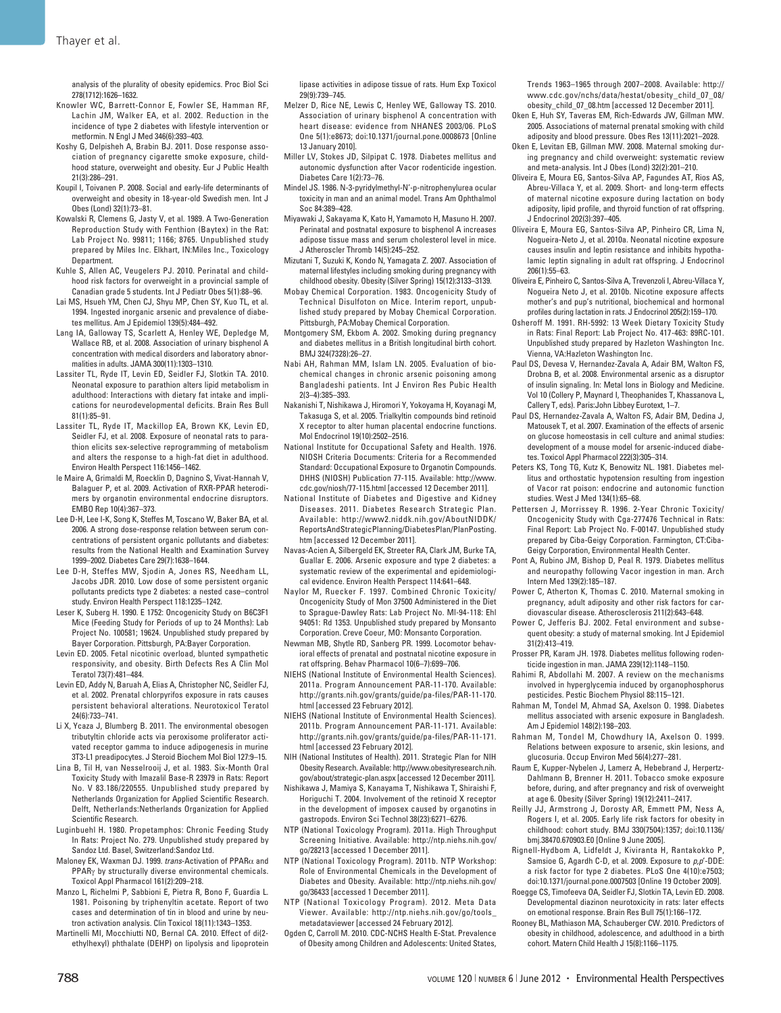analysis of the plurality of obesity epidemics. Proc Biol Sci 278(1712):1626–1632.

- Knowler WC, Barrett-Connor E, Fowler SE, Hamman RF, Lachin JM, Walker EA, et al. 2002. Reduction in the incidence of type 2 diabetes with lifestyle intervention or metformin. N Engl J Med 346(6):393–403.
- Koshy G, Delpisheh A, Brabin BJ. 2011. Dose response association of pregnancy cigarette smoke exposure, childhood stature, overweight and obesity. Eur J Public Health 21(3):286–291.
- Koupil I, Toivanen P. 2008. Social and early-life determinants of overweight and obesity in 18-year-old Swedish men. Int J Obes (Lond) 32(1):73–81.
- Kowalski R, Clemens G, Jasty V, et al. 1989. A Two-Generation Reproduction Study with Fenthion (Baytex) in the Rat: Lab Project No. 99811; 1166; 8765. Unpublished study prepared by Miles Inc. Elkhart, IN:Miles Inc., Toxicology Department.
- Kuhle S, Allen AC, Veugelers PJ. 2010. Perinatal and childhood risk factors for overweight in a provincial sample of Canadian grade 5 students. Int J Pediatr Obes 5(1):88–96.
- Lai MS, Hsueh YM, Chen CJ, Shyu MP, Chen SY, Kuo TL, et al. 1994. Ingested inorganic arsenic and prevalence of diabetes mellitus. Am J Epidemiol 139(5):484–492.
- Lang IA, Galloway TS, Scarlett A, Henley WE, Depledge M, Wallace RB, et al. 2008. Association of urinary bisphenol A concentration with medical disorders and laboratory abnormalities in adults. JAMA 300(11):1303–1310.
- Lassiter TL, Ryde IT, Levin ED, Seidler FJ, Slotkin TA. 2010. Neonatal exposure to parathion alters lipid metabolism in adulthood: Interactions with dietary fat intake and implications for neurodevelopmental deficits. Brain Res Bull 81(1):85–91.
- Lassiter TL, Ryde IT, Mackillop EA, Brown KK, Levin ED, Seidler FJ, et al. 2008. Exposure of neonatal rats to parathion elicits sex-selective reprogramming of metabolism and alters the response to a high-fat diet in adulthood. Environ Health Perspect 116:1456–1462.
- le Maire A, Grimaldi M, Roecklin D, Dagnino S, Vivat-Hannah V, Balaguer P, et al. 2009. Activation of RXR-PPAR heterodimers by organotin environmental endocrine disruptors. EMBO Rep 10(4):367–373.
- Lee D-H, Lee I-K, Song K, Steffes M, Toscano W, Baker BA, et al. 2006. A strong dose-response relation between serum concentrations of persistent organic pollutants and diabetes: results from the National Health and Examination Survey 1999–2002. Diabetes Care 29(7):1638–1644.
- Lee D-H, Steffes MW, Sjodin A, Jones RS, Needham LL, Jacobs JDR. 2010. Low dose of some persistent organic pollutants predicts type 2 diabetes: a nested case–control study. Environ Health Perspect 118:1235–1242.
- Leser K, Suberg H. 1990. E 1752: Oncogenicity Study on B6C3F1 Mice (Feeding Study for Periods of up to 24 Months): Lab Project No. 100581; 19624. Unpublished study prepared by Bayer Corporation. Pittsburgh, PA:Bayer Corporation.
- Levin ED. 2005. Fetal nicotinic overload, blunted sympathetic responsivity, and obesity. Birth Defects Res A Clin Mol Teratol 73(7):481–484.
- Levin ED, Addy N, Baruah A, Elias A, Christopher NC, Seidler FJ, et al. 2002. Prenatal chlorpyrifos exposure in rats causes persistent behavioral alterations. Neurotoxicol Teratol 24(6):733–741.
- Li X, Ycaza J, Blumberg B. 2011. The environmental obesogen tributyltin chloride acts via peroxisome proliferator activated receptor gamma to induce adipogenesis in murine 3T3-L1 preadipocytes. J Steroid Biochem Mol Biol 127:9–15.
- Lina B, Til H, van Nesselrooij J, et al. 1983. Six-Month Oral Toxicity Study with Imazalil Base-R 23979 in Rats: Report No. V 83.186/220555. Unpublished study prepared by Netherlands Organization for Applied Scientific Research. Delft, Netherlands:Netherlands Organization for Applied Scientific Research.
- Luginbuehl H. 1980. Propetamphos: Chronic Feeding Study In Rats: Project No. 279. Unpublished study prepared by Sandoz Ltd. Basel, Switzerland:Sandoz Ltd.
- Maloney EK, Waxman DJ. 1999. *trans*-Activation of PPARa and PPAR<sub>Y</sub> by structurally diverse environmental chemicals. Toxicol Appl Pharmacol 161(2):209–218.
- Manzo L, Richelmi P, Sabbioni E, Pietra R, Bono F, Guardia L. 1981. Poisoning by triphenyltin acetate. Report of two cases and determination of tin in blood and urine by neutron activation analysis. Clin Toxicol 18(11):1343–1353.
- Martinelli MI, Mocchiutti NO, Bernal CA. 2010. Effect of di(2 ethylhexyl) phthalate (DEHP) on lipolysis and lipoprotein

lipase activities in adipose tissue of rats. Hum Exp Toxicol 29(9):739–745.

- Melzer D, Rice NE, Lewis C, Henley WE, Galloway TS. 2010. Association of urinary bisphenol A concentration with heart disease: evidence from NHANES 2003/06. PLoS One 5(1):e8673; doi:10.1371/journal.pone.0008673 [Online 13 January 2010].
- Miller LV, Stokes JD, Silpipat C. 1978. Diabetes mellitus and autonomic dysfunction after Vacor rodenticide ingestion. Diabetes Care 1(2):73–76.
- Mindel JS. 1986. N-3-pyridylmethyl-N'-p-nitrophenylurea ocular toxicity in man and an animal model. Trans Am Ophthalmol Soc 84:389–428.
- Miyawaki J, Sakayama K, Kato H, Yamamoto H, Masuno H. 2007. Perinatal and postnatal exposure to bisphenol A increases adipose tissue mass and serum cholesterol level in mice. J Atheroscler Thromb 14(5):245–252.
- Mizutani T, Suzuki K, Kondo N, Yamagata Z. 2007. Association of maternal lifestyles including smoking during pregnancy with childhood obesity. Obesity (Silver Spring) 15(12):3133–3139.
- Mobay Chemical Corporation. 1983. Oncogenicity Study of Technical Disulfoton on Mice. Interim report, unpublished study prepared by Mobay Chemical Corporation. Pittsburgh, PA:Mobay Chemical Corporation.
- Montgomery SM, Ekbom A. 2002. Smoking during pregnancy and diabetes mellitus in a British longitudinal birth cohort. BMJ 324(7328):26–27.
- Nabi AH, Rahman MM, Islam LN. 2005. Evaluation of biochemical changes in chronic arsenic poisoning among Bangladeshi patients. Int J Environ Res Pubic Health 2(3–4):385–393.
- Nakanishi T, Nishikawa J, Hiromori Y, Yokoyama H, Koyanagi M, Takasuga S, et al. 2005. Trialkyltin compounds bind retinoid X receptor to alter human placental endocrine functions. Mol Endocrinol 19(10):2502–2516.
- National Institute for Occupational Safety and Health. 1976. NIOSH Criteria Documents: Criteria for a Recommended Standard: Occupational Exposure to Organotin Compounds. DHHS (NIOSH) Publication 77-115. Available: http://www. cdc.gov/niosh/77-115.html [accessed 12 December 2011].
- National Institute of Diabetes and Digestive and Kidney Diseases. 2011. Diabetes Research Strategic Plan. Available: http://www2.niddk.nih.gov/AboutNIDDK/ ReportsAndStrategicPlanning/DiabetesPlan/PlanPosting. htm [accessed 12 December 2011].
- Navas-Acien A, Silbergeld EK, Streeter RA, Clark JM, Burke TA, Guallar E. 2006. Arsenic exposure and type 2 diabetes: a systematic review of the experimental and epidemiological evidence. Environ Health Perspect 114:641–648.
- Naylor M, Ruecker F. 1997. Combined Chronic Toxicity/ Oncogenicity Study of Mon 37500 Administered in the Diet to Sprague-Dawley Rats: Lab Project No. Ml-94-118: Ehl 94051: Rd 1353. Unpublished study prepared by Monsanto Corporation. Creve Coeur, MO: Monsanto Corporation.
- Newman MB, Shytle RD, Sanberg PR. 1999. Locomotor behavioral effects of prenatal and postnatal nicotine exposure in rat offspring. Behav Pharmacol 10(6–7):699–706.
- NIEHS (National Institute of Environmental Health Sciences). 2011a. Program Announcement PAR-11-170. Available: http://grants.nih.gov/grants/guide/pa-files/PAR-11-170. html [accessed 23 February 2012].
- NIEHS (National Institute of Environmental Health Sciences). 2011b. Program Announcement PAR-11-171. Available: http://grants.nih.gov/grants/guide/pa-files/PAR-11-171. html [accessed 23 February 2012].
- NIH (National Institutes of Health). 2011. Strategic Plan for NIH Obesity Research. Available: http://www.obesityresearch.nih. gov/about/strategic-plan.aspx [accessed 12 December 2011].
- Nishikawa J, Mamiya S, Kanayama T, Nishikawa T, Shiraishi F, Horiguchi T. 2004. Involvement of the retinoid X receptor in the development of imposex caused by organotins in gastropods. Environ Sci Technol 38(23):6271–6276.
- NTP (National Toxicology Program). 2011a. High Throughput Screening Initiative. Available: http://ntp.niehs.nih.gov/ go/28213 [accessed 1 December 2011].
- NTP (National Toxicology Program). 2011b. NTP Workshop: Role of Environmental Chemicals in the Development of Diabetes and Obesity. Available: http://ntp.niehs.nih.gov/ go/36433 [accessed 1 December 2011].
- NTP (National Toxicology Program). 2012. Meta Data Viewer. Available: http://ntp.niehs.nih.gov/go/tools\_ metadataviewer [accessed 24 February 2012].
- Ogden C, Carroll M. 2010. CDC-NCHS Health E-Stat. Prevalence of Obesity among Children and Adolescents: United States,

Trends 1963–1965 through 2007–2008. Available: http:// www.cdc.gov/nchs/data/hestat/obesity\_child\_07\_08/ obesity\_child\_07\_08.htm [accessed 12 December 2011].

- Oken E, Huh SY, Taveras EM, Rich-Edwards JW, Gillman MW. 2005. Associations of maternal prenatal smoking with child adiposity and blood pressure. Obes Res 13(11):2021–2028.
- Oken E, Levitan EB, Gillman MW. 2008. Maternal smoking during pregnancy and child overweight: systematic review and meta-analysis. Int J Obes (Lond) 32(2):201–210.
- Oliveira E, Moura EG, Santos-Silva AP, Fagundes AT, Rios AS, Abreu-Villaca Y, et al. 2009. Short- and long-term effects of maternal nicotine exposure during lactation on body adiposity, lipid profile, and thyroid function of rat offspring. J Endocrinol 202(3):397–405.
- Oliveira E, Moura EG, Santos-Silva AP, Pinheiro CR, Lima N, Nogueira-Neto J, et al. 2010a. Neonatal nicotine exposure causes insulin and leptin resistance and inhibits hypothalamic leptin signaling in adult rat offspring. J Endocrinol 206(1):55–63.
- Oliveira E, Pinheiro C, Santos-Silva A, Trevenzoli I, Abreu-Villaca Y, Nogueira Neto J, et al. 2010b. Nicotine exposure affects mother's and pup's nutritional, biochemical and hormonal profiles during lactation in rats. J Endocrinol 205(2):159–170.
- Osheroff M. 1991. RH-5992: 13 Week Dietary Toxicity Study in Rats: Final Report: Lab Project No. 417-463: 89RC-101. Unpublished study prepared by Hazleton Washington Inc. Vienna, VA:Hazleton Washington Inc.
- Paul DS, Devesa V, Hernandez-Zavala A, Adair BM, Walton FS, Drobna B, et al. 2008. Environmental arsenic as a disruptor of insulin signaling. In: Metal Ions in Biology and Medicine. Vol 10 (Collery P, Maynard I, Theophanides T, Khassanova L, Callery T, eds). Paris:John Libbey Eurotext, 1–7.
- Paul DS, Hernandez-Zavala A, Walton FS, Adair BM, Dedina J, Matousek T, et al. 2007. Examination of the effects of arsenic on glucose homeostasis in cell culture and animal studies: development of a mouse model for arsenic-induced diabetes. Toxicol Appl Pharmacol 222(3):305–314.
- Peters KS, Tong TG, Kutz K, Benowitz NL. 1981. Diabetes mellitus and orthostatic hypotension resulting from ingestion of Vacor rat poison: endocrine and autonomic function studies. West J Med 134(1):65–68.
- Pettersen J, Morrissey R. 1996. 2-Year Chronic Toxicity/ Oncogenicity Study with Cga-277476 Technical in Rats: Final Report: Lab Project No. F-00147. Unpublished study prepared by Ciba-Geigy Corporation. Farmington, CT:Ciba-Geigy Corporation, Environmental Health Center.
- Pont A, Rubino JM, Bishop D, Peal R. 1979. Diabetes mellitus and neuropathy following Vacor ingestion in man. Arch Intern Med 139(2):185–187.
- Power C, Atherton K, Thomas C. 2010. Maternal smoking in pregnancy, adult adiposity and other risk factors for cardiovascular disease. Atherosclerosis 211(2):643–648.
- Power C, Jefferis BJ. 2002. Fetal environment and subsequent obesity: a study of maternal smoking. Int J Epidemiol 31(2):413–419.
- Prosser PR, Karam JH. 1978. Diabetes mellitus following rodenticide ingestion in man. JAMA 239(12):1148–1150.
- Rahimi R, Abdollahi M. 2007. A review on the mechanisms involved in hyperglycemia induced by organophosphorus pesticides. Pestic Biochem Physiol 88:115–121.
- Rahman M, Tondel M, Ahmad SA, Axelson O. 1998. Diabetes mellitus associated with arsenic exposure in Bangladesh. Am J Epidemiol 148(2):198–203.
- Rahman M, Tondel M, Chowdhury IA, Axelson O. 1999. Relations between exposure to arsenic, skin lesions, and glucosuria. Occup Environ Med 56(4):277–281.
- Raum E, Kupper-Nybelen J, Lamerz A, Hebebrand J, Herpertz-Dahlmann B, Brenner H. 2011. Tobacco smoke exposure before, during, and after pregnancy and risk of overweight at age 6. Obesity (Silver Spring) 19(12):2411–2417.
- Reilly JJ, Armstrong J, Dorosty AR, Emmett PM, Ness A, Rogers I, et al. 2005. Early life risk factors for obesity in childhood: cohort study. BMJ 330(7504):1357; doi:10.1136/ bmj.38470.670903.E0 [Online 9 June 2005].
- Rignell-Hydbom A, Lidfeldt J, Kiviranta H, Rantakokko P, Samsioe G, Agardh C-D, et al. 2009. Exposure to *p,p*'-DDE: a risk factor for type 2 diabetes. PLoS One 4(10):e7503; doi:10.1371/journal.pone.0007503 [Online 19 October 2009].
- Roegge CS, Timofeeva OA, Seidler FJ, Slotkin TA, Levin ED. 2008. Developmental diazinon neurotoxicity in rats: later effects on emotional response. Brain Res Bull 75(1):166–172.
- Rooney BL, Mathiason MA, Schauberger CW. 2010. Predictors of obesity in childhood, adolescence, and adulthood in a birth cohort. Matern Child Health J 15(8):1166–1175.